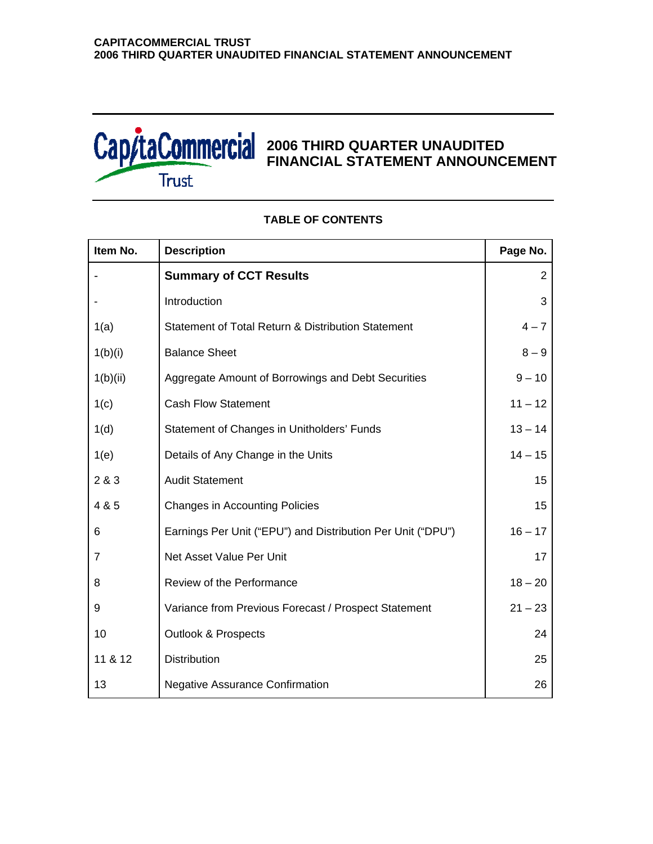

# **2006 THIRD QUARTER UNAUDITED FINANCIAL STATEMENT ANNOUNCEMENT**

| Item No.       | <b>Description</b>                                          | Page No.       |
|----------------|-------------------------------------------------------------|----------------|
|                | <b>Summary of CCT Results</b>                               | $\overline{2}$ |
|                | Introduction                                                | 3              |
| 1(a)           | Statement of Total Return & Distribution Statement          | $4 - 7$        |
| 1(b)(i)        | <b>Balance Sheet</b>                                        | $8 - 9$        |
| 1(b)(ii)       | Aggregate Amount of Borrowings and Debt Securities          | $9 - 10$       |
| 1(c)           | <b>Cash Flow Statement</b>                                  | $11 - 12$      |
| 1(d)           | Statement of Changes in Unitholders' Funds                  | $13 - 14$      |
| 1(e)           | Details of Any Change in the Units                          | $14 - 15$      |
| 2 & 3          | <b>Audit Statement</b>                                      | 15             |
| 4 & 5          | <b>Changes in Accounting Policies</b>                       | 15             |
| 6              | Earnings Per Unit ("EPU") and Distribution Per Unit ("DPU") | $16 - 17$      |
| $\overline{7}$ | Net Asset Value Per Unit                                    | 17             |
| 8              | Review of the Performance                                   | $18 - 20$      |
| 9              | Variance from Previous Forecast / Prospect Statement        | $21 - 23$      |
| 10             | <b>Outlook &amp; Prospects</b>                              | 24             |
| 11 & 12        | Distribution                                                | 25             |
| 13             | <b>Negative Assurance Confirmation</b>                      | 26             |

# **TABLE OF CONTENTS**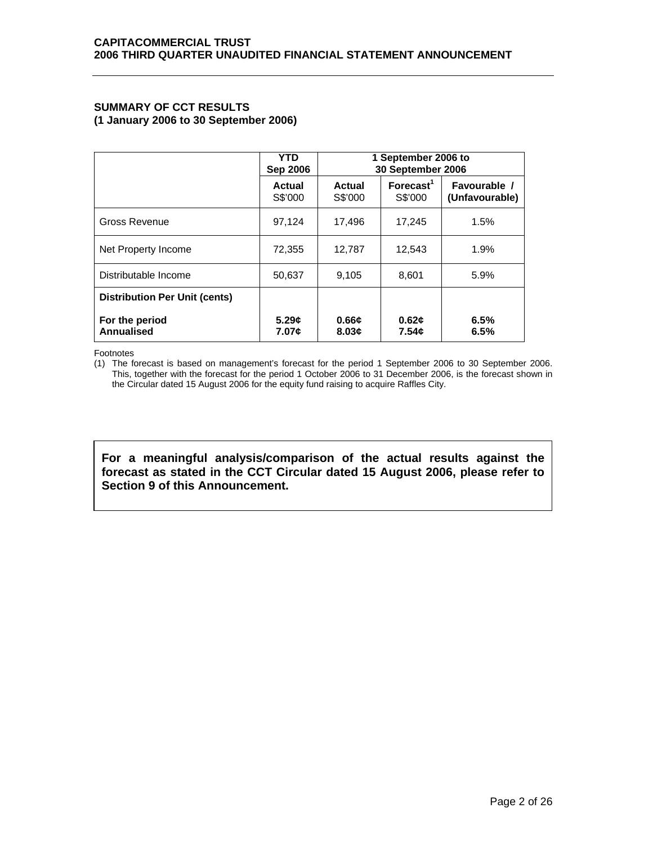# **SUMMARY OF CCT RESULTS (1 January 2006 to 30 September 2006)**

|                                      | <b>YTD</b><br><b>Sep 2006</b> | 1 September 2006 to<br>30 September 2006 |                                  |                                |  |  |
|--------------------------------------|-------------------------------|------------------------------------------|----------------------------------|--------------------------------|--|--|
|                                      | Actual<br>S\$'000             | Actual<br>S\$'000                        | Forecast <sup>1</sup><br>S\$'000 | Favourable /<br>(Unfavourable) |  |  |
| Gross Revenue                        | 97,124                        | 17,496                                   | 17,245                           | 1.5%                           |  |  |
| Net Property Income                  | 72,355                        | 12,787                                   | 12,543                           | 1.9%                           |  |  |
| Distributable Income                 | 50,637                        | 9,105                                    | 8,601                            | 5.9%                           |  |  |
| <b>Distribution Per Unit (cents)</b> |                               |                                          |                                  |                                |  |  |
| For the period<br>Annualised         | 5.29c<br>7.07¢                | 0.66c<br>8.03c                           | 0.62c<br>7.54¢                   | 6.5%<br>6.5%                   |  |  |

Footnotes

(1) The forecast is based on management's forecast for the period 1 September 2006 to 30 September 2006. This, together with the forecast for the period 1 October 2006 to 31 December 2006, is the forecast shown in the Circular dated 15 August 2006 for the equity fund raising to acquire Raffles City.

**For a meaningful analysis/comparison of the actual results against the forecast as stated in the CCT Circular dated 15 August 2006, please refer to Section 9 of this Announcement.**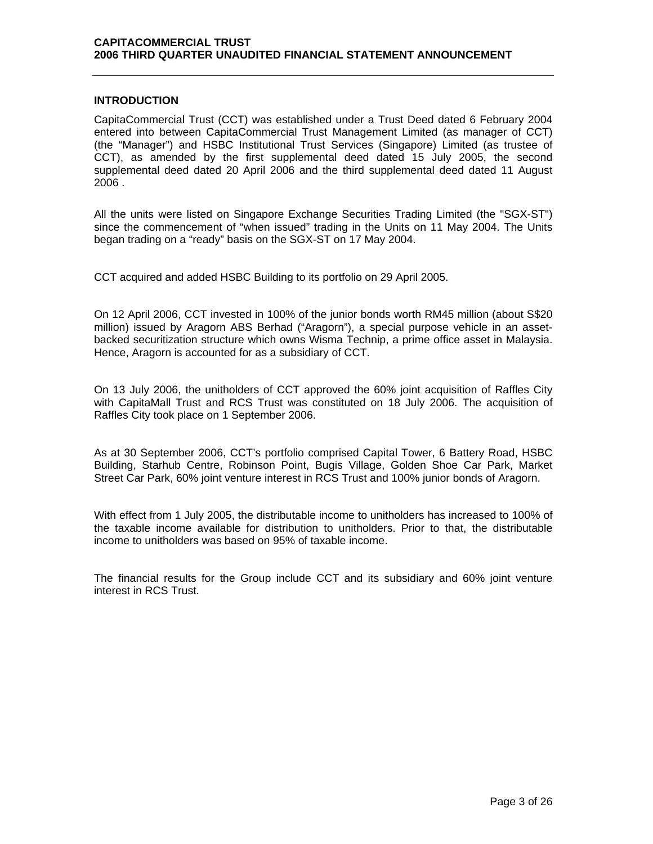# **INTRODUCTION**

CapitaCommercial Trust (CCT) was established under a Trust Deed dated 6 February 2004 entered into between CapitaCommercial Trust Management Limited (as manager of CCT) (the "Manager") and HSBC Institutional Trust Services (Singapore) Limited (as trustee of CCT), as amended by the first supplemental deed dated 15 July 2005, the second supplemental deed dated 20 April 2006 and the third supplemental deed dated 11 August 2006 .

All the units were listed on Singapore Exchange Securities Trading Limited (the "SGX-ST") since the commencement of "when issued" trading in the Units on 11 May 2004. The Units began trading on a "ready" basis on the SGX-ST on 17 May 2004.

CCT acquired and added HSBC Building to its portfolio on 29 April 2005.

On 12 April 2006, CCT invested in 100% of the junior bonds worth RM45 million (about S\$20 million) issued by Aragorn ABS Berhad ("Aragorn"), a special purpose vehicle in an assetbacked securitization structure which owns Wisma Technip, a prime office asset in Malaysia. Hence, Aragorn is accounted for as a subsidiary of CCT.

On 13 July 2006, the unitholders of CCT approved the 60% joint acquisition of Raffles City with CapitaMall Trust and RCS Trust was constituted on 18 July 2006. The acquisition of Raffles City took place on 1 September 2006.

As at 30 September 2006, CCT's portfolio comprised Capital Tower, 6 Battery Road, HSBC Building, Starhub Centre, Robinson Point, Bugis Village, Golden Shoe Car Park, Market Street Car Park, 60% joint venture interest in RCS Trust and 100% junior bonds of Aragorn.

With effect from 1 July 2005, the distributable income to unitholders has increased to 100% of the taxable income available for distribution to unitholders. Prior to that, the distributable income to unitholders was based on 95% of taxable income.

The financial results for the Group include CCT and its subsidiary and 60% joint venture interest in RCS Trust.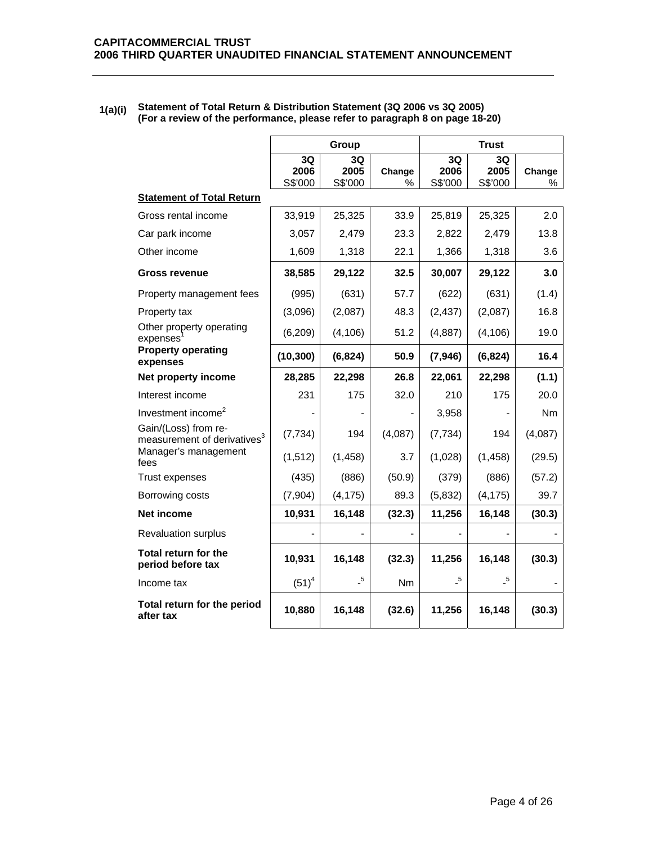| 1(a)(i) | Statement of Total Return & Distribution Statement (3Q 2006 vs 3Q 2005)      |
|---------|------------------------------------------------------------------------------|
|         | (For a review of the performance, please refer to paragraph 8 on page 18-20) |

|                                                                 |                       | Group                      |                |                            | <b>Trust</b>               |             |
|-----------------------------------------------------------------|-----------------------|----------------------------|----------------|----------------------------|----------------------------|-------------|
|                                                                 | 3Q<br>2006<br>S\$'000 | 3Q<br>2005<br>S\$'000      | Change<br>%    | 3Q<br>2006<br>S\$'000      | 3Q<br>2005<br>S\$'000      | Change<br>% |
| <b>Statement of Total Return</b>                                |                       |                            |                |                            |                            |             |
| Gross rental income                                             | 33,919                | 25,325                     | 33.9           | 25,819                     | 25,325                     | 2.0         |
| Car park income                                                 | 3,057                 | 2,479                      | 23.3           | 2,822                      | 2,479                      | 13.8        |
| Other income                                                    | 1,609                 | 1,318                      | 22.1           | 1,366                      | 1,318                      | 3.6         |
| Gross revenue                                                   | 38,585                | 29,122                     | 32.5           | 30,007                     | 29,122                     | 3.0         |
| Property management fees                                        | (995)                 | (631)                      | 57.7           | (622)                      | (631)                      | (1.4)       |
| Property tax                                                    | (3,096)               | (2,087)                    | 48.3           | (2, 437)                   | (2,087)                    | 16.8        |
| Other property operating<br>expenses                            | (6, 209)              | (4, 106)                   | 51.2           | (4, 887)                   | (4, 106)                   | 19.0        |
| <b>Property operating</b><br>expenses                           | (10, 300)             | (6, 824)                   | 50.9           | (7, 946)                   | (6, 824)                   | 16.4        |
| Net property income                                             | 28,285                | 22,298                     | 26.8           | 22,061                     | 22,298                     | (1.1)       |
| Interest income                                                 | 231                   | 175                        | 32.0           | 210                        | 175                        | 20.0        |
| Investment income <sup>2</sup>                                  |                       |                            |                | 3,958                      |                            | Nm          |
| Gain/(Loss) from re-<br>measurement of derivatives <sup>3</sup> | (7, 734)              | 194                        | (4,087)        | (7, 734)                   | 194                        | (4,087)     |
| Manager's management<br>fees                                    | (1, 512)              | (1, 458)                   | 3.7            | (1,028)                    | (1, 458)                   | (29.5)      |
| Trust expenses                                                  | (435)                 | (886)                      | (50.9)         | (379)                      | (886)                      | (57.2)      |
| Borrowing costs                                                 | (7,904)               | (4, 175)                   | 89.3           | (5,832)                    | (4, 175)                   | 39.7        |
| Net income                                                      | 10,931                | 16,148                     | (32.3)         | 11,256                     | 16,148                     | (30.3)      |
| <b>Revaluation surplus</b>                                      |                       |                            |                |                            |                            |             |
| Total return for the<br>period before tax                       | 10,931                | 16,148                     | (32.3)         | 11,256                     | 16,148                     | (30.3)      |
| Income tax                                                      | $(51)^4$              | $\overline{\phantom{0}}^5$ | N <sub>m</sub> | $\overline{\phantom{0}}^5$ | $\overline{\phantom{0}}^5$ |             |
| Total return for the period<br>after tax                        | 10,880                | 16,148                     | (32.6)         | 11,256                     | 16,148                     | (30.3)      |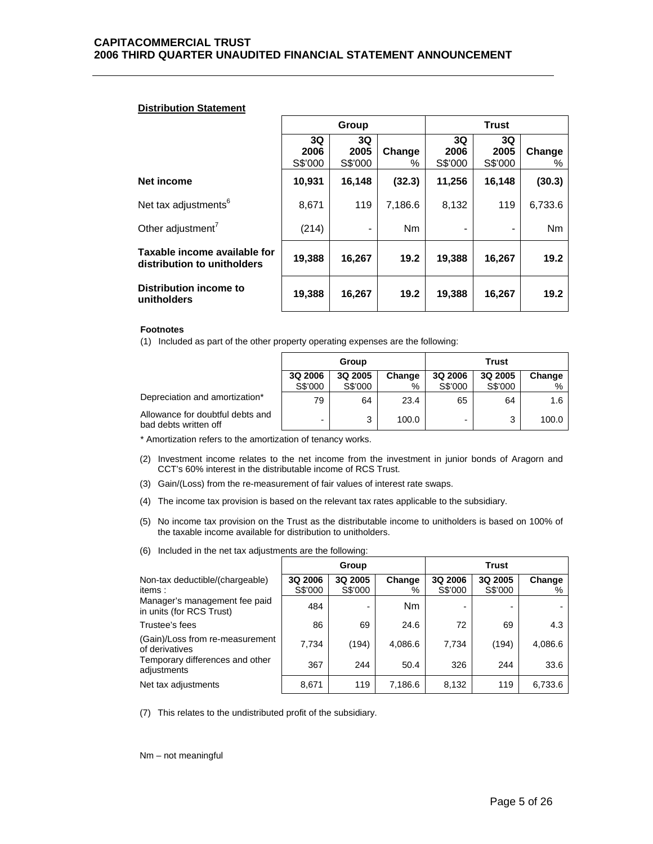## **Distribution Statement**

|                                                             |                       | Group                 |                |                       |                       |             |
|-------------------------------------------------------------|-----------------------|-----------------------|----------------|-----------------------|-----------------------|-------------|
|                                                             | 3Q<br>2006<br>S\$'000 | 3Q<br>2005<br>S\$'000 | Change<br>%    | 3Q<br>2006<br>S\$'000 | 3Q<br>2005<br>S\$'000 | Change<br>% |
| Net income                                                  | 10,931                | 16,148                | (32.3)         | 11,256                | 16,148                | (30.3)      |
| Net tax adjustments <sup>6</sup>                            | 8,671                 | 119                   | 7,186.6        | 8,132                 | 119                   | 6,733.6     |
| Other adjustment <sup>7</sup>                               | (214)                 | -                     | N <sub>m</sub> |                       |                       | Nm          |
| Taxable income available for<br>distribution to unitholders | 19,388                | 16,267                | 19.2           | 19,388                | 16,267                | 19.2        |
| Distribution income to<br>unitholders                       | 19,388                | 16,267                | 19.2           | 19,388                | 16,267                | 19.2        |

### **Footnotes**

(1) Included as part of the other property operating expenses are the following:

|                                                           | Group                    |         |        | Trust   |         |        |
|-----------------------------------------------------------|--------------------------|---------|--------|---------|---------|--------|
|                                                           | 3Q 2006                  | 3Q 2005 | Change | 3Q 2006 | 3Q 2005 | Change |
|                                                           | S\$'000                  | S\$'000 | $\%$   | S\$'000 | S\$'000 | $\%$   |
| Depreciation and amortization*                            | 79                       | 64      | 23.4   | 65      | 64      | 1.6    |
| Allowance for doubtful debts and<br>bad debts written off | $\overline{\phantom{0}}$ | 3       | 100.0  |         | 3       | 100.0  |

\* Amortization refers to the amortization of tenancy works.

- (2) Investment income relates to the net income from the investment in junior bonds of Aragorn and CCT's 60% interest in the distributable income of RCS Trust.
- (3) Gain/(Loss) from the re-measurement of fair values of interest rate swaps.
- (4) The income tax provision is based on the relevant tax rates applicable to the subsidiary.
- (5) No income tax provision on the Trust as the distributable income to unitholders is based on 100% of the taxable income available for distribution to unitholders.
- (6) Included in the net tax adjustments are the following:

|                                                           |                    | Group              |                |                    | <b>Trust</b>       |             |
|-----------------------------------------------------------|--------------------|--------------------|----------------|--------------------|--------------------|-------------|
| Non-tax deductible/(chargeable)<br>items:                 | 3Q 2006<br>S\$'000 | 3Q 2005<br>S\$'000 | Change<br>%    | 3Q 2006<br>S\$'000 | 3Q 2005<br>S\$'000 | Change<br>% |
| Manager's management fee paid<br>in units (for RCS Trust) | 484                |                    | N <sub>m</sub> |                    |                    |             |
| Trustee's fees                                            | 86                 | 69                 | 24.6           | 72                 | 69                 | 4.3         |
| (Gain)/Loss from re-measurement<br>of derivatives         | 7,734              | (194)              | 4,086.6        | 7.734              | (194)              | 4,086.6     |
| Temporary differences and other<br>adjustments            | 367                | 244                | 50.4           | 326                | 244                | 33.6        |
| Net tax adjustments                                       | 8,671              | 119                | 7,186.6        | 8,132              | 119                | 6,733.6     |

(7) This relates to the undistributed profit of the subsidiary.

Nm – not meaningful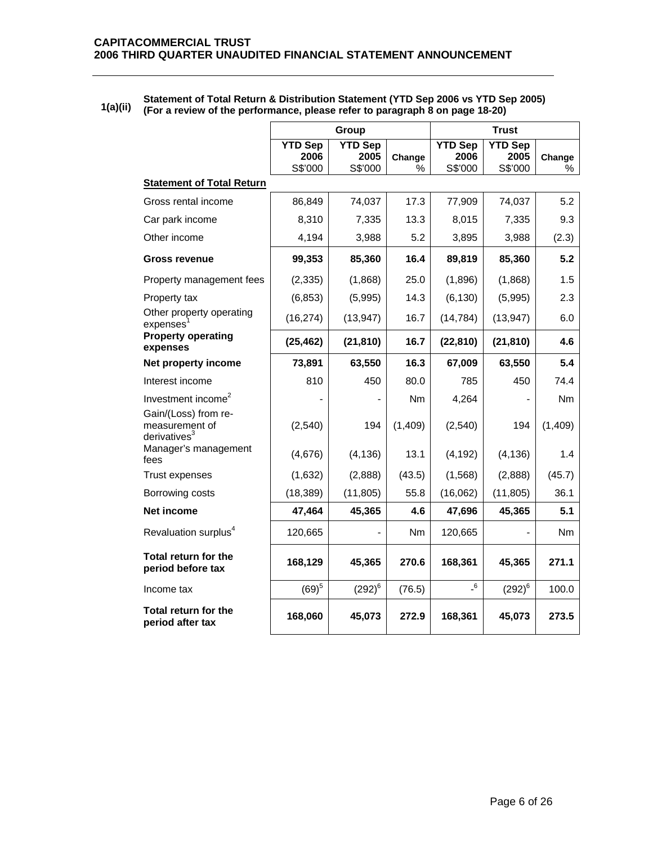|                                                           |                                   | Group                             |             |                                   | <b>Trust</b>                      |             |
|-----------------------------------------------------------|-----------------------------------|-----------------------------------|-------------|-----------------------------------|-----------------------------------|-------------|
|                                                           | <b>YTD Sep</b><br>2006<br>S\$'000 | <b>YTD Sep</b><br>2005<br>S\$'000 | Change<br>% | <b>YTD Sep</b><br>2006<br>S\$'000 | <b>YTD Sep</b><br>2005<br>S\$'000 | Change<br>% |
| <b>Statement of Total Return</b>                          |                                   |                                   |             |                                   |                                   |             |
| Gross rental income                                       | 86,849                            | 74,037                            | 17.3        | 77,909                            | 74,037                            | 5.2         |
| Car park income                                           | 8,310                             | 7,335                             | 13.3        | 8,015                             | 7,335                             | 9.3         |
| Other income                                              | 4,194                             | 3,988                             | 5.2         | 3,895                             | 3,988                             | (2.3)       |
| <b>Gross revenue</b>                                      | 99,353                            | 85,360                            | 16.4        | 89,819                            | 85,360                            | 5.2         |
| Property management fees                                  | (2, 335)                          | (1,868)                           | 25.0        | (1,896)                           | (1,868)                           | 1.5         |
| Property tax                                              | (6, 853)                          | (5,995)                           | 14.3        | (6, 130)                          | (5,995)                           | 2.3         |
| Other property operating<br>expenses                      | (16, 274)                         | (13, 947)                         | 16.7        | (14, 784)                         | (13, 947)                         | 6.0         |
| <b>Property operating</b><br>expenses                     | (25, 462)                         | (21, 810)                         | 16.7        | (22, 810)                         | (21, 810)                         | 4.6         |
| Net property income                                       | 73,891                            | 63,550                            | 16.3        | 67,009                            | 63,550                            | 5.4         |
| Interest income                                           | 810                               | 450                               | 80.0        | 785                               | 450                               | 74.4        |
| Investment income <sup>2</sup>                            |                                   |                                   | Nm          | 4,264                             |                                   | Nm          |
| Gain/(Loss) from re-<br>measurement of<br>derivatives $3$ | (2,540)                           | 194                               | (1,409)     | (2,540)                           | 194                               | (1,409)     |
| Manager's management<br>fees                              | (4,676)                           | (4, 136)                          | 13.1        | (4, 192)                          | (4, 136)                          | 1.4         |
| <b>Trust expenses</b>                                     | (1,632)                           | (2,888)                           | (43.5)      | (1, 568)                          | (2,888)                           | (45.7)      |
| Borrowing costs                                           | (18, 389)                         | (11, 805)                         | 55.8        | (16,062)                          | (11, 805)                         | 36.1        |
| Net income                                                | 47,464                            | 45,365                            | 4.6         | 47,696                            | 45,365                            | 5.1         |
| Revaluation surplus <sup>4</sup>                          | 120,665                           |                                   | Nm          | 120,665                           |                                   | Nm          |
| Total return for the<br>period before tax                 | 168,129                           | 45,365                            | 270.6       | 168,361                           | 45,365                            | 271.1       |
| Income tax                                                | $(69)^{5}$                        | $(292)^6$                         | (76.5)      | $\overline{\phantom{0}}^6$        | $(292)^6$                         | 100.0       |
| Total return for the<br>period after tax                  | 168,060                           | 45,073                            | 272.9       | 168,361                           | 45,073                            | 273.5       |

# **1(a)(ii) Statement of Total Return & Distribution Statement (YTD Sep 2006 vs YTD Sep 2005) (For a review of the performance, please refer to paragraph 8 on page 18-20)**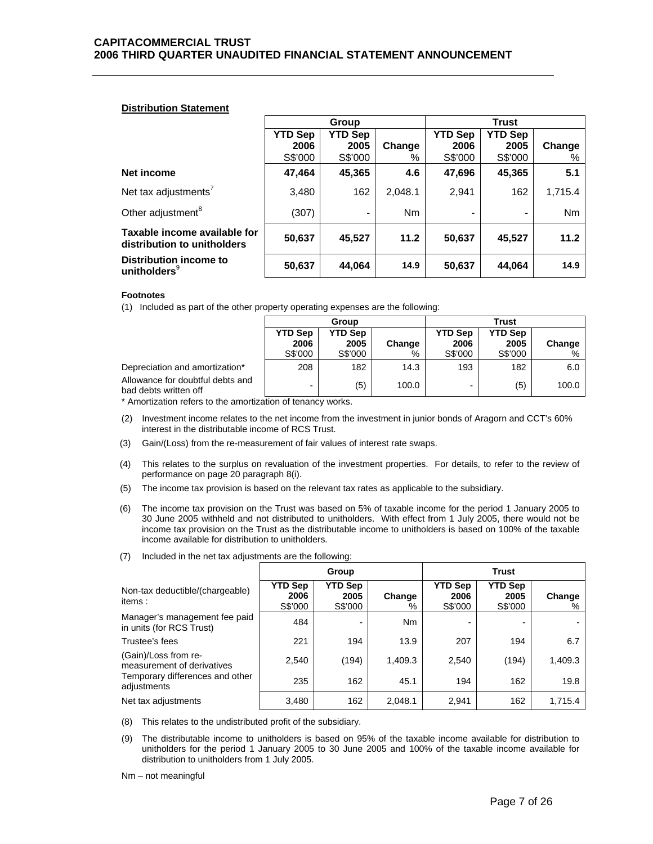## **Distribution Statement**

|                                                             | Group                  |                        |           |                        | Trust                  |         |
|-------------------------------------------------------------|------------------------|------------------------|-----------|------------------------|------------------------|---------|
|                                                             | <b>YTD Sep</b><br>2006 | <b>YTD Sep</b><br>2005 | Change    | <b>YTD Sep</b><br>2006 | <b>YTD Sep</b><br>2005 | Change  |
|                                                             | S\$'000                | S\$'000                | %         | S\$'000                | S\$'000                | %       |
| Net income                                                  | 47,464                 | 45,365                 | 4.6       | 47,696                 | 45,365                 | 5.1     |
| Net tax adjustments <sup>7</sup>                            | 3,480                  | 162                    | 2,048.1   | 2,941                  | 162                    | 1,715.4 |
| Other adjustment <sup>8</sup>                               | (307)                  | $\blacksquare$         | <b>Nm</b> | -                      |                        | Nm      |
| Taxable income available for<br>distribution to unitholders | 50,637                 | 45,527                 | 11.2      | 50,637                 | 45,527                 | 11.2    |
| Distribution income to<br>unitholders <sup>9</sup>          | 50,637                 | 44,064                 | 14.9      | 50,637                 | 44,064                 | 14.9    |

## **Footnotes**

(1) Included as part of the other property operating expenses are the following:

|                                                           |                                   | Group                      |             |                                   | Trust                             |                |
|-----------------------------------------------------------|-----------------------------------|----------------------------|-------------|-----------------------------------|-----------------------------------|----------------|
|                                                           | <b>YTD Sep</b><br>2006<br>S\$'000 | YTD Sep<br>2005<br>S\$'000 | Change<br>% | <b>YTD Sep</b><br>2006<br>S\$'000 | <b>YTD Sep</b><br>2005<br>S\$'000 | Change<br>$\%$ |
| Depreciation and amortization*                            | 208                               | 182                        | 14.3        | 193                               | 182                               | 6.0            |
| Allowance for doubtful debts and<br>bad debts written off | $\overline{\phantom{0}}$          | (5)                        | 100.0       | -                                 | (5)                               | 100.0          |

\* Amortization refers to the amortization of tenancy works.

- (2) Investment income relates to the net income from the investment in junior bonds of Aragorn and CCT's 60% interest in the distributable income of RCS Trust.
- (3) Gain/(Loss) from the re-measurement of fair values of interest rate swaps.
- (4) This relates to the surplus on revaluation of the investment properties. For details, to refer to the review of performance on page 20 paragraph 8(i).
- (5) The income tax provision is based on the relevant tax rates as applicable to the subsidiary.
- (6) The income tax provision on the Trust was based on 5% of taxable income for the period 1 January 2005 to 30 June 2005 withheld and not distributed to unitholders. With effect from 1 July 2005, there would not be income tax provision on the Trust as the distributable income to unitholders is based on 100% of the taxable income available for distribution to unitholders.
- (7) Included in the net tax adjustments are the following:

|                                                           |                                   | <b>Trust</b><br>Group             |                |                                   |                                   |             |
|-----------------------------------------------------------|-----------------------------------|-----------------------------------|----------------|-----------------------------------|-----------------------------------|-------------|
| Non-tax deductible/(chargeable)<br>items:                 | <b>YTD Sep</b><br>2006<br>S\$'000 | <b>YTD Sep</b><br>2005<br>S\$'000 | Change<br>%    | <b>YTD Sep</b><br>2006<br>S\$'000 | <b>YTD Sep</b><br>2005<br>S\$'000 | Change<br>% |
| Manager's management fee paid<br>in units (for RCS Trust) | 484                               | $\overline{\phantom{a}}$          | N <sub>m</sub> | $\overline{\phantom{0}}$          |                                   |             |
| Trustee's fees                                            | 221                               | 194                               | 13.9           | 207                               | 194                               | 6.7         |
| (Gain)/Loss from re-<br>measurement of derivatives        | 2,540                             | (194)                             | 1,409.3        | 2,540                             | (194)                             | 1,409.3     |
| Temporary differences and other<br>adjustments            | 235                               | 162                               | 45.1           | 194                               | 162                               | 19.8        |
| Net tax adjustments                                       | 3,480                             | 162                               | 2,048.1        | 2,941                             | 162                               | 1,715.4     |

- (8) This relates to the undistributed profit of the subsidiary.
- (9) The distributable income to unitholders is based on 95% of the taxable income available for distribution to unitholders for the period 1 January 2005 to 30 June 2005 and 100% of the taxable income available for distribution to unitholders from 1 July 2005.

Nm – not meaningful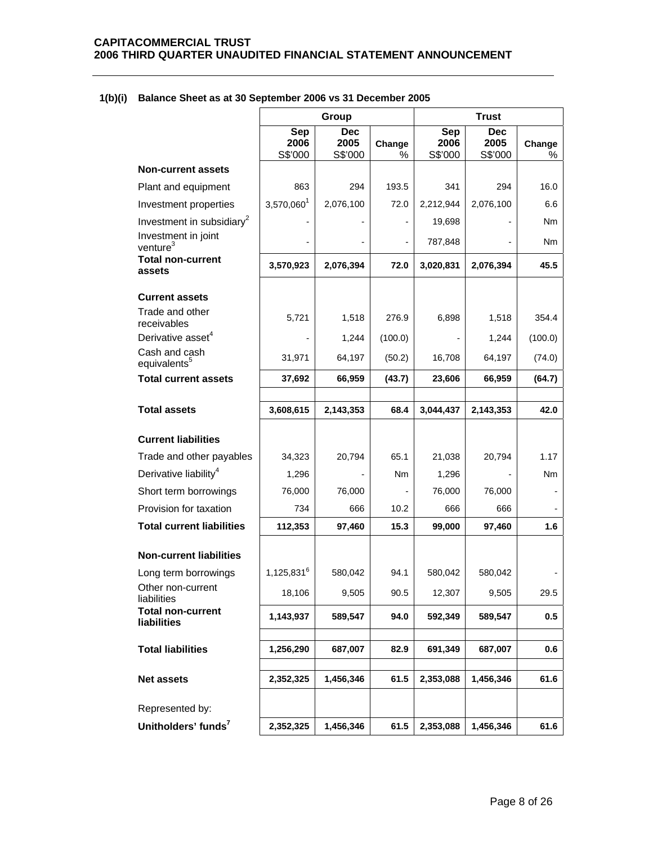|                                             |                        | <b>Trust</b><br>Group         |             |                               |                               |             |
|---------------------------------------------|------------------------|-------------------------------|-------------|-------------------------------|-------------------------------|-------------|
|                                             | Sep<br>2006<br>S\$'000 | <b>Dec</b><br>2005<br>S\$'000 | Change<br>% | <b>Sep</b><br>2006<br>S\$'000 | <b>Dec</b><br>2005<br>S\$'000 | Change<br>% |
| <b>Non-current assets</b>                   |                        |                               |             |                               |                               |             |
| Plant and equipment                         | 863                    | 294                           | 193.5       | 341                           | 294                           | 16.0        |
| Investment properties                       | 3,570,0601             | 2,076,100                     | 72.0        | 2,212,944                     | 2,076,100                     | 6.6         |
| Investment in subsidiary <sup>2</sup>       |                        |                               |             | 19,698                        |                               | Nm          |
| Investment in joint<br>venture <sup>3</sup> |                        |                               |             | 787,848                       |                               | Nm          |
| <b>Total non-current</b><br>assets          | 3,570,923              | 2,076,394                     | 72.0        | 3,020,831                     | 2,076,394                     | 45.5        |
| <b>Current assets</b>                       |                        |                               |             |                               |                               |             |
| Trade and other<br>receivables              | 5,721                  | 1,518                         | 276.9       | 6,898                         | 1,518                         | 354.4       |
| Derivative asset <sup>4</sup>               |                        | 1,244                         | (100.0)     |                               | 1,244                         | (100.0)     |
| Cash and cash<br>equivalents <sup>5</sup>   | 31,971                 | 64,197                        | (50.2)      | 16,708                        | 64,197                        | (74.0)      |
| <b>Total current assets</b>                 | 37,692                 | 66,959                        | (43.7)      | 23,606                        | 66,959                        | (64.7)      |
|                                             |                        |                               |             |                               |                               |             |
| <b>Total assets</b>                         | 3,608,615              | 2,143,353                     | 68.4        | 3,044,437                     | 2,143,353                     | 42.0        |
| <b>Current liabilities</b>                  |                        |                               |             |                               |                               |             |
| Trade and other payables                    | 34,323                 | 20,794                        | 65.1        | 21,038                        | 20,794                        | 1.17        |
| Derivative liability <sup>4</sup>           | 1,296                  |                               | Nm          | 1,296                         |                               | Nm          |
| Short term borrowings                       | 76,000                 | 76,000                        |             | 76,000                        | 76,000                        |             |
| Provision for taxation                      | 734                    | 666                           | 10.2        | 666                           | 666                           |             |
| <b>Total current liabilities</b>            | 112,353                | 97,460                        | 15.3        | 99,000                        | 97,460                        | 1.6         |
| <b>Non-current liabilities</b>              |                        |                               |             |                               |                               |             |
| Long term borrowings                        | 1,125,831 <sup>6</sup> | 580,042                       | 94.1        | 580,042                       | 580,042                       |             |
| Other non-current<br>liabilities            | 18,106                 | 9,505                         | 90.5        | 12,307                        | 9,505                         | 29.5        |
| <b>Total non-current</b><br>liabilities     | 1,143,937              | 589,547                       | 94.0        | 592,349                       | 589,547                       | 0.5         |
| <b>Total liabilities</b>                    | 1,256,290              | 687,007                       | 82.9        | 691,349                       | 687,007                       | 0.6         |
| <b>Net assets</b>                           | 2,352,325              | 1,456,346                     | 61.5        | 2,353,088                     | 1,456,346                     | 61.6        |
| Represented by:                             |                        |                               |             |                               |                               |             |
| Unitholders' funds <sup>7</sup>             | 2,352,325              | 1,456,346                     | 61.5        | 2,353,088                     | 1,456,346                     | 61.6        |

# **1(b)(i) Balance Sheet as at 30 September 2006 vs 31 December 2005**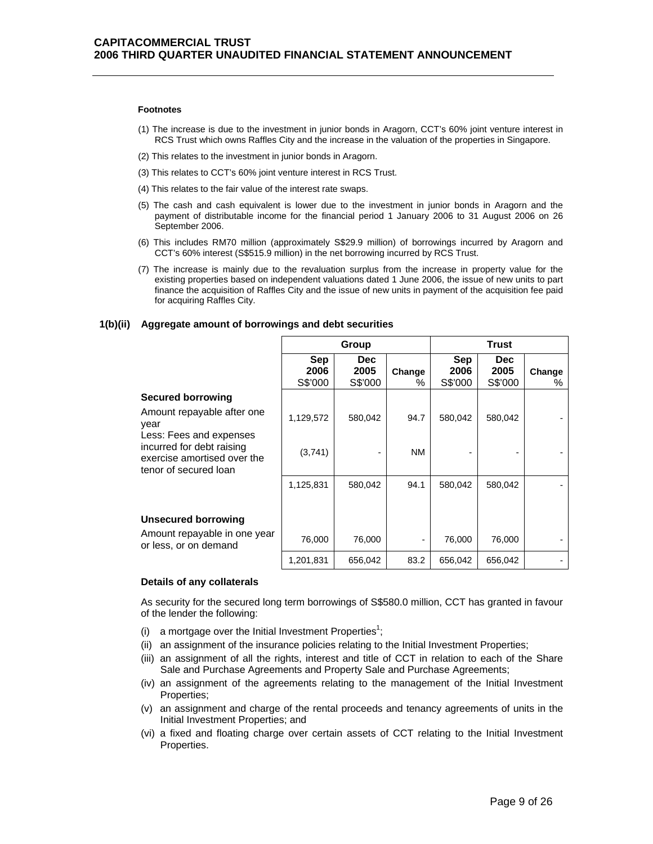#### **Footnotes**

- (1) The increase is due to the investment in junior bonds in Aragorn, CCT's 60% joint venture interest in RCS Trust which owns Raffles City and the increase in the valuation of the properties in Singapore.
- (2) This relates to the investment in junior bonds in Aragorn.
- (3) This relates to CCT's 60% joint venture interest in RCS Trust.
- (4) This relates to the fair value of the interest rate swaps.
- (5) The cash and cash equivalent is lower due to the investment in junior bonds in Aragorn and the payment of distributable income for the financial period 1 January 2006 to 31 August 2006 on 26 September 2006.
- (6) This includes RM70 million (approximately S\$29.9 million) of borrowings incurred by Aragorn and CCT's 60% interest (S\$515.9 million) in the net borrowing incurred by RCS Trust.
- (7) The increase is mainly due to the revaluation surplus from the increase in property value for the existing properties based on independent valuations dated 1 June 2006, the issue of new units to part finance the acquisition of Raffles City and the issue of new units in payment of the acquisition fee paid for acquiring Raffles City.

## **1(b)(ii) Aggregate amount of borrowings and debt securities**

|                                                                                   | Group                         |                               |             |                        | Trust                         |             |
|-----------------------------------------------------------------------------------|-------------------------------|-------------------------------|-------------|------------------------|-------------------------------|-------------|
|                                                                                   | <b>Sep</b><br>2006<br>S\$'000 | <b>Dec</b><br>2005<br>S\$'000 | Change<br>% | Sep<br>2006<br>S\$'000 | <b>Dec</b><br>2005<br>S\$'000 | Change<br>℅ |
| Secured borrowing                                                                 |                               |                               |             |                        |                               |             |
| Amount repayable after one<br>year<br>Less: Fees and expenses                     | 1,129,572                     | 580,042                       | 94.7        | 580,042                | 580,042                       |             |
| incurred for debt raising<br>exercise amortised over the<br>tenor of secured loan | (3,741)                       | $\blacksquare$                | <b>NM</b>   |                        |                               |             |
|                                                                                   | 1,125,831                     | 580,042                       | 94.1        | 580,042                | 580,042                       |             |
|                                                                                   |                               |                               |             |                        |                               |             |
| <b>Unsecured borrowing</b>                                                        |                               |                               |             |                        |                               |             |
| Amount repayable in one year<br>or less, or on demand                             | 76,000                        | 76,000                        |             | 76,000                 | 76,000                        |             |
|                                                                                   | 1,201,831                     | 656,042                       | 83.2        | 656,042                | 656,042                       |             |

## **Details of any collaterals**

As security for the secured long term borrowings of S\$580.0 million, CCT has granted in favour of the lender the following:

- (i) a mortgage over the Initial Investment Properties<sup>1</sup>;
- (ii) an assignment of the insurance policies relating to the Initial Investment Properties;
- (iii) an assignment of all the rights, interest and title of CCT in relation to each of the Share Sale and Purchase Agreements and Property Sale and Purchase Agreements;
- (iv) an assignment of the agreements relating to the management of the Initial Investment Properties;
- (v) an assignment and charge of the rental proceeds and tenancy agreements of units in the Initial Investment Properties; and
- (vi) a fixed and floating charge over certain assets of CCT relating to the Initial Investment Properties.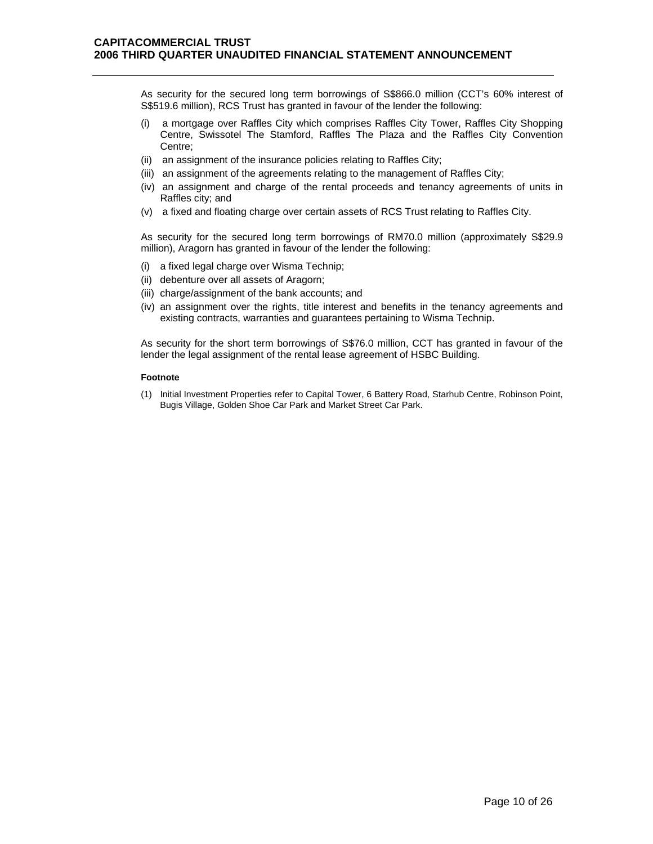As security for the secured long term borrowings of S\$866.0 million (CCT's 60% interest of S\$519.6 million), RCS Trust has granted in favour of the lender the following:

- (i) a mortgage over Raffles City which comprises Raffles City Tower, Raffles City Shopping Centre, Swissotel The Stamford, Raffles The Plaza and the Raffles City Convention Centre;
- (ii) an assignment of the insurance policies relating to Raffles City;
- (iii) an assignment of the agreements relating to the management of Raffles City;
- (iv) an assignment and charge of the rental proceeds and tenancy agreements of units in Raffles city; and
- (v) a fixed and floating charge over certain assets of RCS Trust relating to Raffles City.

As security for the secured long term borrowings of RM70.0 million (approximately S\$29.9 million), Aragorn has granted in favour of the lender the following:

- (i) a fixed legal charge over Wisma Technip;
- (ii) debenture over all assets of Aragorn;
- (iii) charge/assignment of the bank accounts; and
- (iv) an assignment over the rights, title interest and benefits in the tenancy agreements and existing contracts, warranties and guarantees pertaining to Wisma Technip.

As security for the short term borrowings of S\$76.0 million, CCT has granted in favour of the lender the legal assignment of the rental lease agreement of HSBC Building.

#### **Footnote**

(1) Initial Investment Properties refer to Capital Tower, 6 Battery Road, Starhub Centre, Robinson Point, Bugis Village, Golden Shoe Car Park and Market Street Car Park.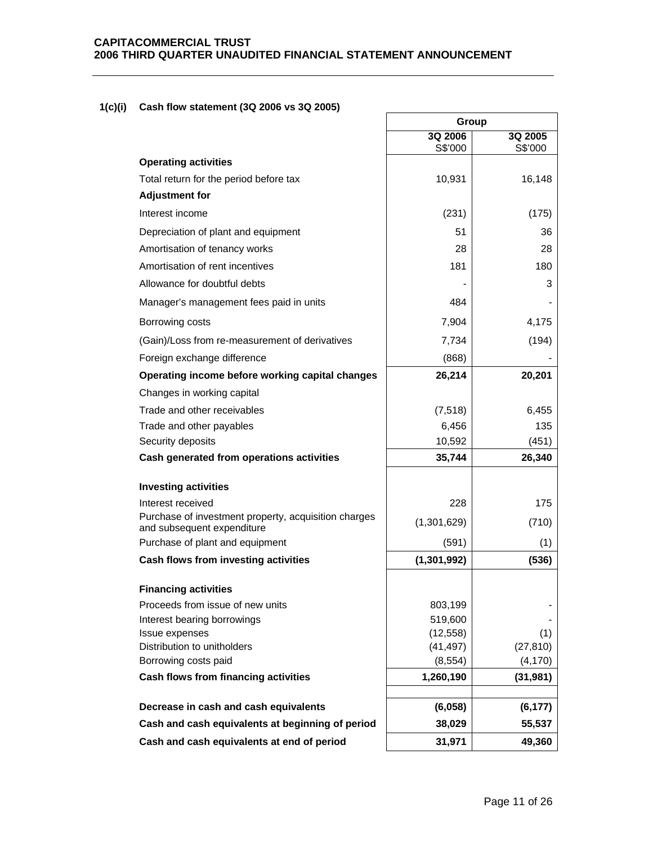٦

# **1(c)(i) Cash flow statement (3Q 2006 vs 3Q 2005)**

|                                                                                    | Group         |           |
|------------------------------------------------------------------------------------|---------------|-----------|
|                                                                                    | 3Q 2006       | 3Q 2005   |
| <b>Operating activities</b>                                                        | S\$'000       | S\$'000   |
| Total return for the period before tax                                             | 10,931        | 16,148    |
| <b>Adjustment for</b>                                                              |               |           |
| Interest income                                                                    | (231)         | (175)     |
| Depreciation of plant and equipment                                                | 51            | 36        |
| Amortisation of tenancy works                                                      | 28            | 28        |
| Amortisation of rent incentives                                                    | 181           | 180       |
| Allowance for doubtful debts                                                       |               | 3         |
| Manager's management fees paid in units                                            | 484           |           |
| Borrowing costs                                                                    | 7,904         | 4,175     |
| (Gain)/Loss from re-measurement of derivatives                                     | 7,734         | (194)     |
| Foreign exchange difference                                                        | (868)         |           |
| Operating income before working capital changes                                    | 26,214        | 20,201    |
| Changes in working capital                                                         |               |           |
| Trade and other receivables                                                        | (7, 518)      | 6,455     |
| Trade and other payables                                                           | 6,456         | 135       |
| Security deposits                                                                  | 10,592        | (451)     |
| Cash generated from operations activities                                          | 35,744        | 26,340    |
|                                                                                    |               |           |
| <b>Investing activities</b><br>Interest received                                   | 228           | 175       |
| Purchase of investment property, acquisition charges<br>and subsequent expenditure | (1,301,629)   | (710)     |
| Purchase of plant and equipment                                                    | (591)         | (1)       |
| Cash flows from investing activities                                               | (1, 301, 992) | (536)     |
| <b>Financing activities</b>                                                        |               |           |
| Proceeds from issue of new units                                                   | 803,199       |           |
| Interest bearing borrowings                                                        | 519,600       |           |
| Issue expenses                                                                     | (12, 558)     | (1)       |
| Distribution to unitholders                                                        | (41, 497)     | (27, 810) |
| Borrowing costs paid                                                               | (8, 554)      | (4, 170)  |
| Cash flows from financing activities                                               | 1,260,190     | (31, 981) |
| Decrease in cash and cash equivalents                                              | (6,058)       | (6, 177)  |
| Cash and cash equivalents at beginning of period                                   | 38,029        | 55,537    |
| Cash and cash equivalents at end of period                                         | 31,971        | 49,360    |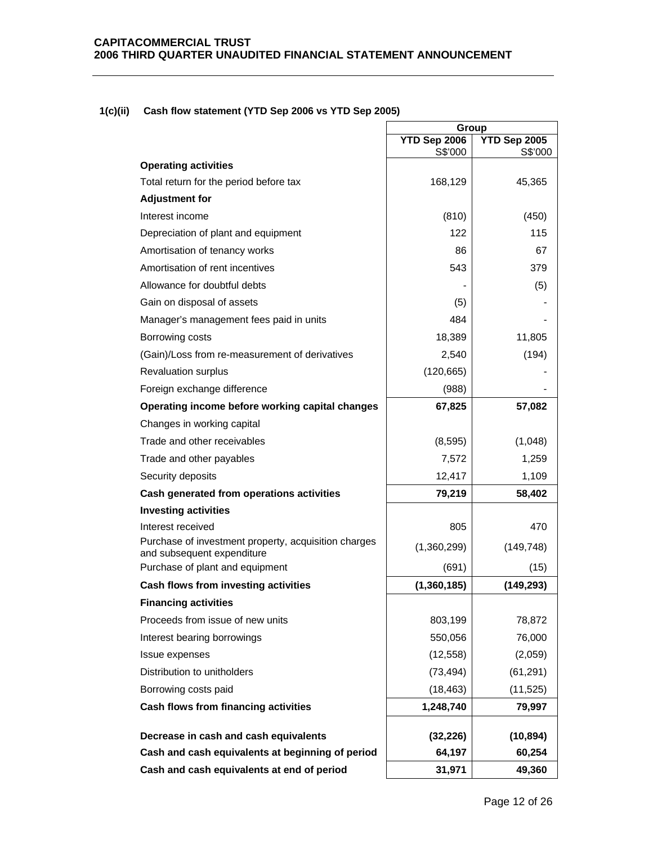# **1(c)(ii) Cash flow statement (YTD Sep 2006 vs YTD Sep 2005)**

|                                                                                    | Group                   |                         |
|------------------------------------------------------------------------------------|-------------------------|-------------------------|
|                                                                                    | YTD Sep 2006<br>S\$'000 | YTD Sep 2005<br>S\$'000 |
| <b>Operating activities</b>                                                        |                         |                         |
| Total return for the period before tax                                             | 168,129                 | 45,365                  |
| <b>Adjustment for</b>                                                              |                         |                         |
| Interest income                                                                    | (810)                   | (450)                   |
| Depreciation of plant and equipment                                                | 122                     | 115                     |
| Amortisation of tenancy works                                                      | 86                      | 67                      |
| Amortisation of rent incentives                                                    | 543                     | 379                     |
| Allowance for doubtful debts                                                       |                         | (5)                     |
| Gain on disposal of assets                                                         | (5)                     |                         |
| Manager's management fees paid in units                                            | 484                     |                         |
| Borrowing costs                                                                    | 18,389                  | 11,805                  |
| (Gain)/Loss from re-measurement of derivatives                                     | 2,540                   | (194)                   |
| <b>Revaluation surplus</b>                                                         | (120, 665)              |                         |
| Foreign exchange difference                                                        | (988)                   |                         |
| Operating income before working capital changes                                    | 67,825                  | 57,082                  |
| Changes in working capital                                                         |                         |                         |
| Trade and other receivables                                                        | (8,595)                 | (1,048)                 |
| Trade and other payables                                                           | 7,572                   | 1,259                   |
| Security deposits                                                                  | 12,417                  | 1,109                   |
| Cash generated from operations activities                                          | 79,219                  | 58,402                  |
| <b>Investing activities</b>                                                        |                         |                         |
| Interest received                                                                  | 805                     | 470                     |
| Purchase of investment property, acquisition charges<br>and subsequent expenditure | (1,360,299)             | (149, 748)              |
| Purchase of plant and equipment                                                    | (691)                   | (15)                    |
| Cash flows from investing activities                                               | (1,360,185)             | (149, 293)              |
| <b>Financing activities</b>                                                        |                         |                         |
| Proceeds from issue of new units                                                   | 803,199                 | 78,872                  |
| Interest bearing borrowings                                                        | 550,056                 | 76,000                  |
| Issue expenses                                                                     | (12, 558)               | (2,059)                 |
| Distribution to unitholders                                                        | (73, 494)               | (61, 291)               |
| Borrowing costs paid                                                               | (18, 463)               | (11, 525)               |
| Cash flows from financing activities                                               | 1,248,740               | 79,997                  |
| Decrease in cash and cash equivalents                                              | (32, 226)               | (10, 894)               |
| Cash and cash equivalents at beginning of period                                   | 64,197                  | 60,254                  |
| Cash and cash equivalents at end of period                                         | 31,971                  | 49,360                  |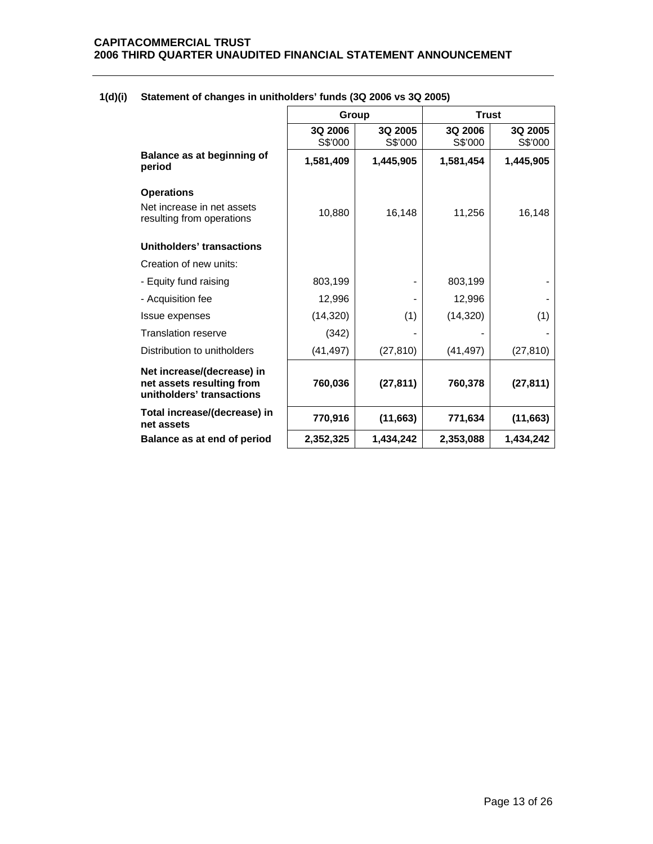|                                                                                      | Group              |                    | <b>Trust</b>       |                    |
|--------------------------------------------------------------------------------------|--------------------|--------------------|--------------------|--------------------|
|                                                                                      | 3Q 2006<br>S\$'000 | 3Q 2005<br>S\$'000 | 3Q 2006<br>S\$'000 | 3Q 2005<br>S\$'000 |
| Balance as at beginning of<br>period                                                 | 1,581,409          | 1,445,905          | 1,581,454          | 1,445,905          |
| <b>Operations</b>                                                                    |                    |                    |                    |                    |
| Net increase in net assets<br>resulting from operations                              | 10,880             | 16,148             | 11,256             | 16,148             |
| Unitholders' transactions                                                            |                    |                    |                    |                    |
| Creation of new units:                                                               |                    |                    |                    |                    |
| - Equity fund raising                                                                | 803,199            |                    | 803,199            |                    |
| - Acquisition fee                                                                    | 12,996             |                    | 12,996             |                    |
| <b>Issue expenses</b>                                                                | (14, 320)          | (1)                | (14, 320)          | (1)                |
| <b>Translation reserve</b>                                                           | (342)              |                    |                    |                    |
| Distribution to unitholders                                                          | (41, 497)          | (27, 810)          | (41, 497)          | (27, 810)          |
| Net increase/(decrease) in<br>net assets resulting from<br>unitholders' transactions | 760,036            | (27, 811)          | 760,378            | (27, 811)          |
| Total increase/(decrease) in<br>net assets                                           | 770,916            | (11,663)           | 771,634            | (11, 663)          |
| Balance as at end of period                                                          | 2,352,325          | 1,434,242          | 2,353,088          | 1,434,242          |
|                                                                                      |                    |                    |                    |                    |

# **1(d)(i) Statement of changes in unitholders' funds (3Q 2006 vs 3Q 2005)**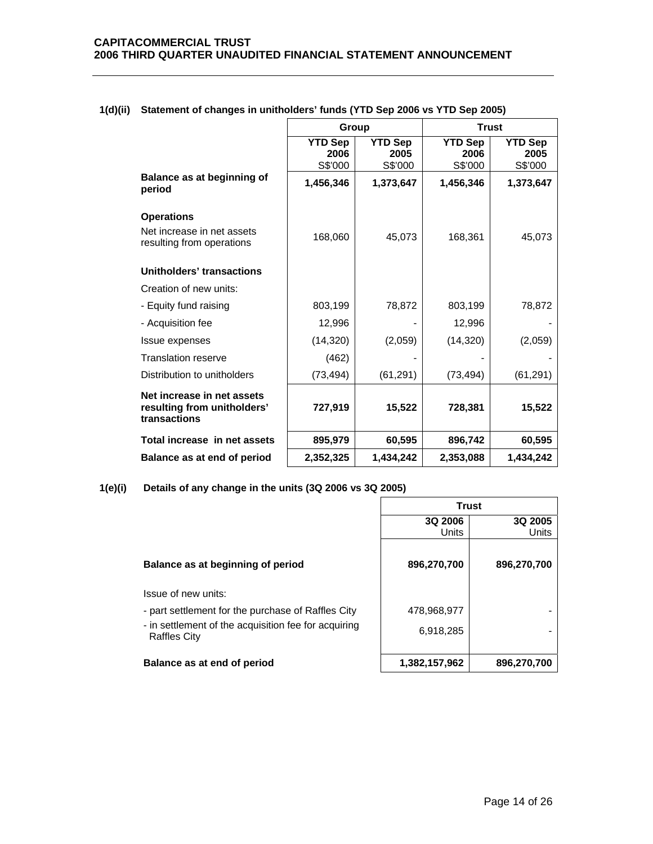|                                                                           | Group                             |                                   | <b>Trust</b>                      |                                   |
|---------------------------------------------------------------------------|-----------------------------------|-----------------------------------|-----------------------------------|-----------------------------------|
|                                                                           | <b>YTD Sep</b><br>2006<br>S\$'000 | <b>YTD Sep</b><br>2005<br>S\$'000 | <b>YTD Sep</b><br>2006<br>S\$'000 | <b>YTD Sep</b><br>2005<br>S\$'000 |
| Balance as at beginning of<br>period                                      | 1,456,346                         | 1,373,647                         | 1,456,346                         | 1,373,647                         |
| <b>Operations</b>                                                         |                                   |                                   |                                   |                                   |
| Net increase in net assets<br>resulting from operations                   | 168,060                           | 45,073                            | 168,361                           | 45,073                            |
| Unitholders' transactions                                                 |                                   |                                   |                                   |                                   |
| Creation of new units:                                                    |                                   |                                   |                                   |                                   |
| - Equity fund raising                                                     | 803,199                           | 78,872                            | 803,199                           | 78,872                            |
| - Acquisition fee                                                         | 12,996                            |                                   | 12,996                            |                                   |
| Issue expenses                                                            | (14, 320)                         | (2,059)                           | (14, 320)                         | (2,059)                           |
| <b>Translation reserve</b>                                                | (462)                             |                                   |                                   |                                   |
| Distribution to unitholders                                               | (73, 494)                         | (61, 291)                         | (73, 494)                         | (61, 291)                         |
| Net increase in net assets<br>resulting from unitholders'<br>transactions | 727,919                           | 15,522                            | 728,381                           | 15,522                            |
| Total increase in net assets                                              | 895,979                           | 60,595                            | 896,742                           | 60,595                            |
| Balance as at end of period                                               | 2,352,325                         | 1,434,242                         | 2,353,088                         | 1,434,242                         |

# **1(d)(ii) Statement of changes in unitholders' funds (YTD Sep 2006 vs YTD Sep 2005)**

**1(e)(i) Details of any change in the units (3Q 2006 vs 3Q 2005)**

 **Trust** 

|                                                                             | 3Q 2006<br>Units | 3Q 2005<br>Units |
|-----------------------------------------------------------------------------|------------------|------------------|
| Balance as at beginning of period                                           | 896,270,700      | 896,270,700      |
| Issue of new units:                                                         |                  |                  |
| - part settlement for the purchase of Raffles City                          | 478,968,977      |                  |
| - in settlement of the acquisition fee for acquiring<br><b>Raffles City</b> | 6,918,285        |                  |
| Balance as at end of period                                                 | 1,382,157,962    | 896,270,700      |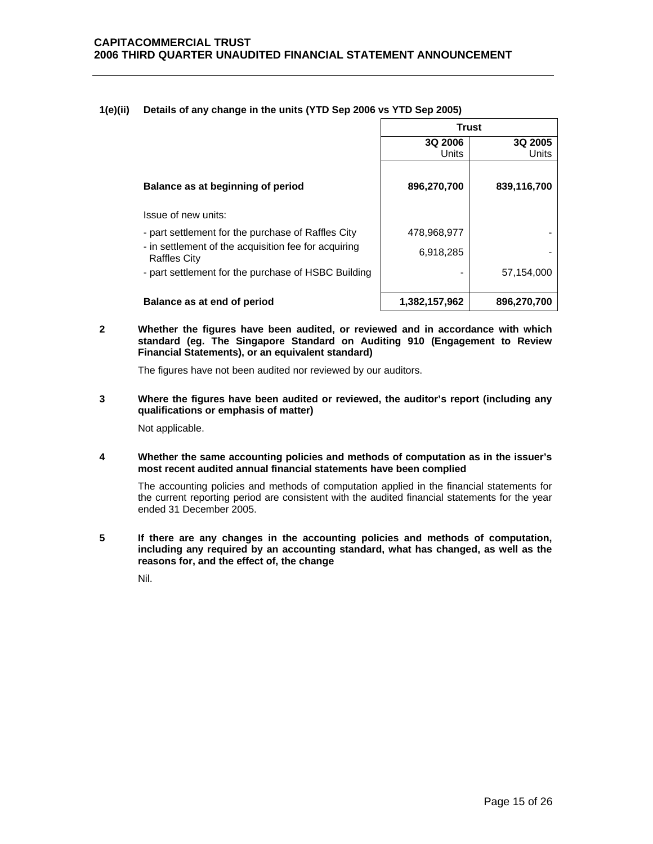# **1(e)(ii) Details of any change in the units (YTD Sep 2006 vs YTD Sep 2005)**

|                                                                             | <b>Trust</b>  |             |  |
|-----------------------------------------------------------------------------|---------------|-------------|--|
|                                                                             | 3Q 2006       | 3Q 2005     |  |
|                                                                             | Units         | Units       |  |
| Balance as at beginning of period                                           | 896,270,700   | 839,116,700 |  |
| Issue of new units:                                                         |               |             |  |
| - part settlement for the purchase of Raffles City                          | 478,968,977   |             |  |
| - in settlement of the acquisition fee for acquiring<br><b>Raffles City</b> | 6,918,285     |             |  |
| - part settlement for the purchase of HSBC Building                         |               | 57,154,000  |  |
| Balance as at end of period                                                 | 1,382,157,962 | 896,270,700 |  |

## **2 Whether the figures have been audited, or reviewed and in accordance with which standard (eg. The Singapore Standard on Auditing 910 (Engagement to Review Financial Statements), or an equivalent standard)**

The figures have not been audited nor reviewed by our auditors.

**3 Where the figures have been audited or reviewed, the auditor's report (including any qualifications or emphasis of matter)** 

Not applicable.

# **4 Whether the same accounting policies and methods of computation as in the issuer's most recent audited annual financial statements have been complied**

The accounting policies and methods of computation applied in the financial statements for the current reporting period are consistent with the audited financial statements for the year ended 31 December 2005.

**5 If there are any changes in the accounting policies and methods of computation, including any required by an accounting standard, what has changed, as well as the reasons for, and the effect of, the change** 

Nil.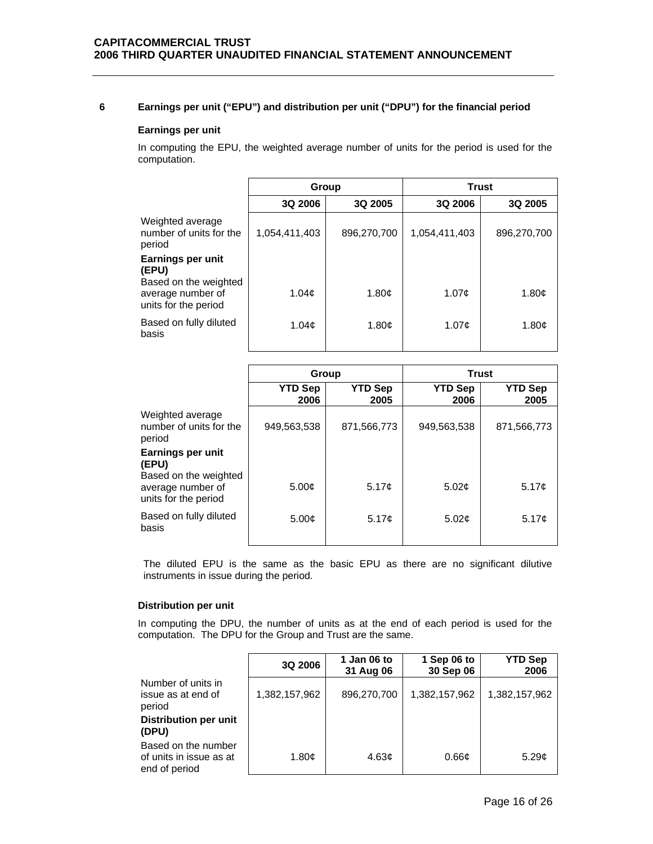# **6 Earnings per unit ("EPU") and distribution per unit ("DPU") for the financial period**

# **Earnings per unit**

In computing the EPU, the weighted average number of units for the period is used for the computation.

|                                                       | Group             |             | <b>Trust</b>   |                   |
|-------------------------------------------------------|-------------------|-------------|----------------|-------------------|
|                                                       | 3Q 2006           | 3Q 2005     | <b>3Q 2006</b> | 3Q 2005           |
| Weighted average<br>number of units for the<br>period | 1,054,411,403     | 896,270,700 | 1,054,411,403  | 896,270,700       |
| Earnings per unit<br>(EPU)<br>Based on the weighted   |                   |             |                |                   |
| average number of<br>units for the period             | 1.04 <sub>c</sub> | 1.80c       | 1.07c          | 1.80 <sub>c</sub> |
| Based on fully diluted<br>basis                       | 1.04 <sub>c</sub> | 1.80c       | 1.07c          | 1.80c             |

|                                                                    | Group                  |                        | <b>Trust</b>           |                        |
|--------------------------------------------------------------------|------------------------|------------------------|------------------------|------------------------|
|                                                                    | <b>YTD Sep</b><br>2006 | <b>YTD Sep</b><br>2005 | <b>YTD Sep</b><br>2006 | <b>YTD Sep</b><br>2005 |
| Weighted average<br>number of units for the<br>period              | 949,563,538            | 871,566,773            | 949,563,538            | 871,566,773            |
| Earnings per unit<br>(EPU)                                         |                        |                        |                        |                        |
| Based on the weighted<br>average number of<br>units for the period | 5.00 <sub>c</sub>      | 5.17c                  | 5.02 <sub>c</sub>      | 5.17 <sub>c</sub>      |
| Based on fully diluted<br>basis                                    | 5.00 <sub>c</sub>      | 5.17 $\phi$            | 5.02 <sub>¢</sub>      | 5.17¢                  |

The diluted EPU is the same as the basic EPU as there are no significant dilutive instruments in issue during the period.

# **Distribution per unit**

In computing the DPU, the number of units as at the end of each period is used for the computation. The DPU for the Group and Trust are the same.

|                                                                 | 3Q 2006       | 1 Jan 06 to<br>31 Aug 06 | 1 Sep 06 to<br>30 Sep 06 | <b>YTD Sep</b><br>2006 |
|-----------------------------------------------------------------|---------------|--------------------------|--------------------------|------------------------|
| Number of units in<br>issue as at end of<br>period              | 1,382,157,962 | 896,270,700              | 1,382,157,962            | 1,382,157,962          |
| Distribution per unit<br>(DPU)                                  |               |                          |                          |                        |
| Based on the number<br>of units in issue as at<br>end of period | 1.80c         | 4.63 <sub>c</sub>        | 0.66 <sub>c</sub>        | 5.29 <sub>¢</sub>      |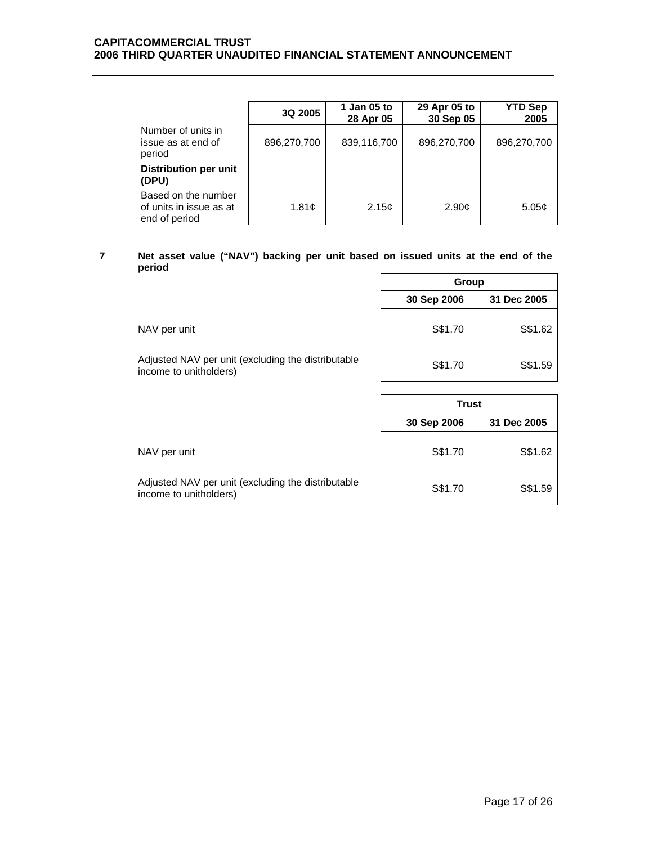# **CAPITACOMMERCIAL TRUST 2006 THIRD QUARTER UNAUDITED FINANCIAL STATEMENT ANNOUNCEMENT**

|                                                                 | 3Q 2005     | 1 Jan 05 to<br>28 Apr 05 | 29 Apr 05 to<br>30 Sep 05 | <b>YTD Sep</b><br>2005 |
|-----------------------------------------------------------------|-------------|--------------------------|---------------------------|------------------------|
| Number of units in<br>issue as at end of<br>period              | 896,270,700 | 839,116,700              | 896,270,700               | 896,270,700            |
| Distribution per unit<br>(DPU)                                  |             |                          |                           |                        |
| Based on the number<br>of units in issue as at<br>end of period | 1.81c       | 2.15 <sub>c</sub>        | 2.90 <sub>c</sub>         | 5.05c                  |

#### **7 Net asset value ("NAV") backing per unit based on issued units at the end of the period**   $\blacksquare$

|                                                                              | Group                      |         |  |
|------------------------------------------------------------------------------|----------------------------|---------|--|
|                                                                              | 30 Sep 2006<br>31 Dec 2005 |         |  |
| NAV per unit                                                                 | S\$1.70                    | S\$1.62 |  |
| Adjusted NAV per unit (excluding the distributable<br>income to unitholders) | S\$1.70                    | S\$1.59 |  |

|                                                                              | <b>Trust</b>               |         |  |
|------------------------------------------------------------------------------|----------------------------|---------|--|
|                                                                              | 30 Sep 2006<br>31 Dec 2005 |         |  |
| NAV per unit                                                                 | S\$1.70                    | S\$1.62 |  |
| Adjusted NAV per unit (excluding the distributable<br>income to unitholders) | S\$1.70                    | S\$1.59 |  |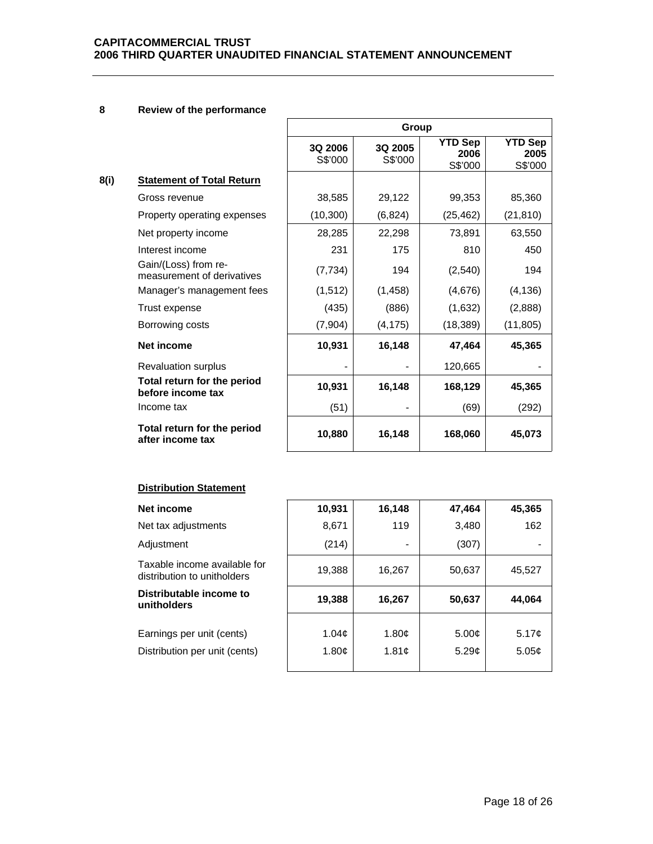# **8 Review of the performance**

**8(i) Statement of Total Return** 

|      |                                                    | Group              |                    |                                   |                                   |  |
|------|----------------------------------------------------|--------------------|--------------------|-----------------------------------|-----------------------------------|--|
|      |                                                    | 3Q 2006<br>S\$'000 | 3Q 2005<br>S\$'000 | <b>YTD Sep</b><br>2006<br>S\$'000 | <b>YTD Sep</b><br>2005<br>S\$'000 |  |
| 8(i) | <b>Statement of Total Return</b>                   |                    |                    |                                   |                                   |  |
|      | Gross revenue                                      | 38,585             | 29,122             | 99,353                            | 85,360                            |  |
|      | Property operating expenses                        | (10, 300)          | (6, 824)           | (25, 462)                         | (21, 810)                         |  |
|      | Net property income                                | 28,285             | 22,298             | 73,891                            | 63,550                            |  |
|      | Interest income                                    | 231                | 175                | 810                               | 450                               |  |
|      | Gain/(Loss) from re-<br>measurement of derivatives | (7, 734)           | 194                | (2, 540)                          | 194                               |  |
|      | Manager's management fees                          | (1, 512)           | (1, 458)           | (4,676)                           | (4, 136)                          |  |
|      | Trust expense                                      | (435)              | (886)              | (1,632)                           | (2,888)                           |  |
|      | Borrowing costs                                    | (7,904)            | (4, 175)           | (18, 389)                         | (11, 805)                         |  |
|      | <b>Net income</b>                                  | 10,931             | 16,148             | 47,464                            | 45,365                            |  |
|      | <b>Revaluation surplus</b>                         |                    |                    | 120,665                           |                                   |  |
|      | Total return for the period<br>before income tax   | 10,931             | 16,148             | 168,129                           | 45,365                            |  |
|      | Income tax                                         | (51)               |                    | (69)                              | (292)                             |  |
|      | Total return for the period<br>after income tax    | 10,880             | 16,148             | 168,060                           | 45,073                            |  |

# **Distribution Statement**

| Net income                                                  | 10,931            | 16,148                   | 47,464            | 45,365            |
|-------------------------------------------------------------|-------------------|--------------------------|-------------------|-------------------|
| Net tax adjustments                                         | 8,671             | 119                      | 3,480             | 162               |
| Adjustment                                                  | (214)             | $\overline{\phantom{a}}$ | (307)             |                   |
| Taxable income available for<br>distribution to unitholders | 19,388            | 16,267                   | 50,637            | 45,527            |
| Distributable income to<br>unitholders                      | 19,388            | 16,267                   | 50,637            | 44,064            |
|                                                             |                   |                          |                   |                   |
| Earnings per unit (cents)                                   | 1.04 <sub>c</sub> | 1.80c                    | 5.00 <sub>c</sub> | 5.17c             |
| Distribution per unit (cents)                               | 1.80c             | 1.81c                    | 5.29c             | 5.05 <sub>c</sub> |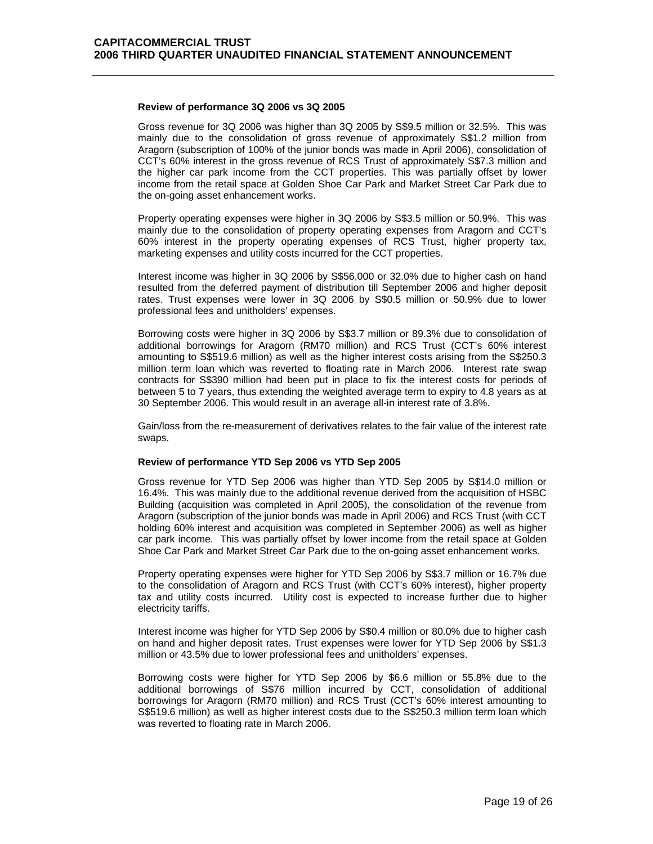### **Review of performance 3Q 2006 vs 3Q 2005**

 Gross revenue for 3Q 2006 was higher than 3Q 2005 by S\$9.5 million or 32.5%. This was mainly due to the consolidation of gross revenue of approximately S\$1.2 million from Aragorn (subscription of 100% of the junior bonds was made in April 2006), consolidation of CCT's 60% interest in the gross revenue of RCS Trust of approximately S\$7.3 million and the higher car park income from the CCT properties. This was partially offset by lower income from the retail space at Golden Shoe Car Park and Market Street Car Park due to the on-going asset enhancement works.

Property operating expenses were higher in 3Q 2006 by S\$3.5 million or 50.9%. This was mainly due to the consolidation of property operating expenses from Aragorn and CCT's 60% interest in the property operating expenses of RCS Trust, higher property tax, marketing expenses and utility costs incurred for the CCT properties.

Interest income was higher in 3Q 2006 by S\$56,000 or 32.0% due to higher cash on hand resulted from the deferred payment of distribution till September 2006 and higher deposit rates. Trust expenses were lower in 3Q 2006 by S\$0.5 million or 50.9% due to lower professional fees and unitholders' expenses.

Borrowing costs were higher in 3Q 2006 by S\$3.7 million or 89.3% due to consolidation of additional borrowings for Aragorn (RM70 million) and RCS Trust (CCT's 60% interest amounting to S\$519.6 million) as well as the higher interest costs arising from the S\$250.3 million term loan which was reverted to floating rate in March 2006. Interest rate swap contracts for S\$390 million had been put in place to fix the interest costs for periods of between 5 to 7 years, thus extending the weighted average term to expiry to 4.8 years as at 30 September 2006. This would result in an average all-in interest rate of 3.8%.

Gain/loss from the re-measurement of derivatives relates to the fair value of the interest rate swaps.

## **Review of performance YTD Sep 2006 vs YTD Sep 2005**

 Gross revenue for YTD Sep 2006 was higher than YTD Sep 2005 by S\$14.0 million or 16.4%. This was mainly due to the additional revenue derived from the acquisition of HSBC Building (acquisition was completed in April 2005), the consolidation of the revenue from Aragorn (subscription of the junior bonds was made in April 2006) and RCS Trust (with CCT holding 60% interest and acquisition was completed in September 2006) as well as higher car park income. This was partially offset by lower income from the retail space at Golden Shoe Car Park and Market Street Car Park due to the on-going asset enhancement works.

Property operating expenses were higher for YTD Sep 2006 by S\$3.7 million or 16.7% due to the consolidation of Aragorn and RCS Trust (with CCT's 60% interest), higher property tax and utility costs incurred. Utility cost is expected to increase further due to higher electricity tariffs.

Interest income was higher for YTD Sep 2006 by S\$0.4 million or 80.0% due to higher cash on hand and higher deposit rates. Trust expenses were lower for YTD Sep 2006 by S\$1.3 million or 43.5% due to lower professional fees and unitholders' expenses.

Borrowing costs were higher for YTD Sep 2006 by \$6.6 million or 55.8% due to the additional borrowings of S\$76 million incurred by CCT, consolidation of additional borrowings for Aragorn (RM70 million) and RCS Trust (CCT's 60% interest amounting to S\$519.6 million) as well as higher interest costs due to the S\$250.3 million term loan which was reverted to floating rate in March 2006.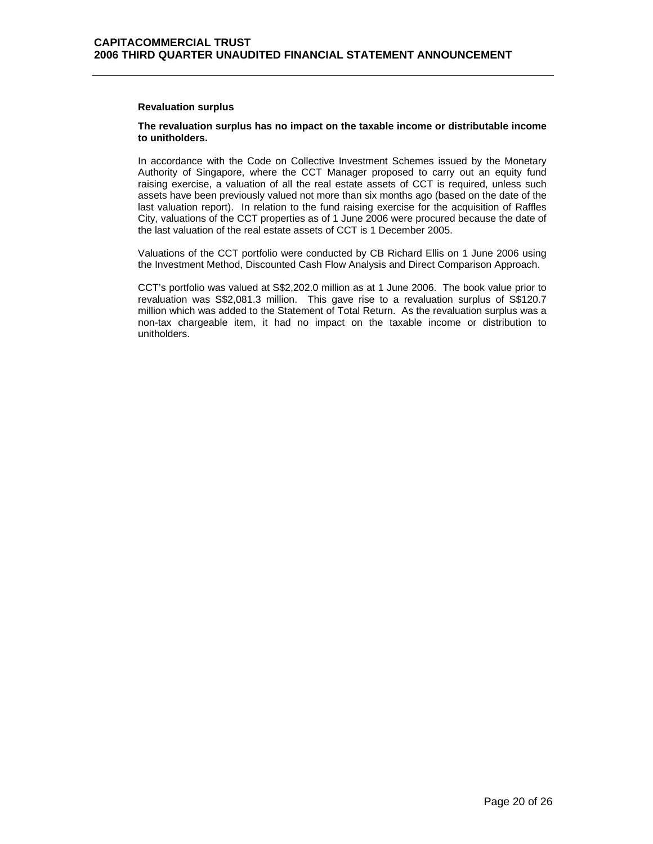## **Revaluation surplus**

# **The revaluation surplus has no impact on the taxable income or distributable income to unitholders.**

In accordance with the Code on Collective Investment Schemes issued by the Monetary Authority of Singapore, where the CCT Manager proposed to carry out an equity fund raising exercise, a valuation of all the real estate assets of CCT is required, unless such assets have been previously valued not more than six months ago (based on the date of the last valuation report). In relation to the fund raising exercise for the acquisition of Raffles City, valuations of the CCT properties as of 1 June 2006 were procured because the date of the last valuation of the real estate assets of CCT is 1 December 2005.

Valuations of the CCT portfolio were conducted by CB Richard Ellis on 1 June 2006 using the Investment Method, Discounted Cash Flow Analysis and Direct Comparison Approach.

CCT's portfolio was valued at S\$2,202.0 million as at 1 June 2006. The book value prior to revaluation was S\$2,081.3 million. This gave rise to a revaluation surplus of S\$120.7 million which was added to the Statement of Total Return. As the revaluation surplus was a non-tax chargeable item, it had no impact on the taxable income or distribution to unitholders.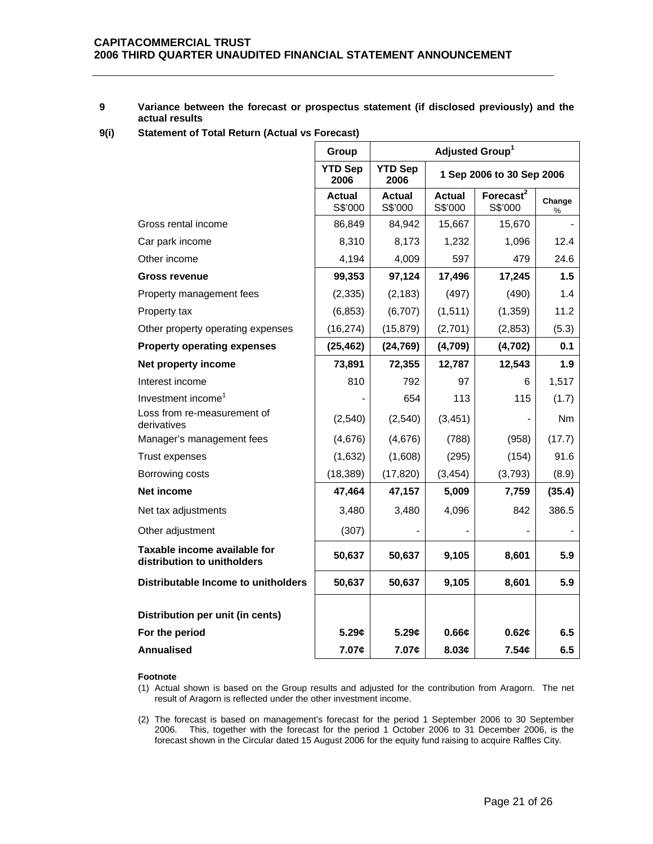# **9 Variance between the forecast or prospectus statement (if disclosed previously) and the actual results**

**9(i) Statement of Total Return (Actual vs Forecast)** 

|                                                             | Group                  | Adjusted Group <sup>1</sup>                         |                          |                                  |             |
|-------------------------------------------------------------|------------------------|-----------------------------------------------------|--------------------------|----------------------------------|-------------|
|                                                             | <b>YTD Sep</b><br>2006 | <b>YTD Sep</b><br>1 Sep 2006 to 30 Sep 2006<br>2006 |                          |                                  |             |
|                                                             | Actual<br>S\$'000      | Actual<br>S\$'000                                   | <b>Actual</b><br>S\$'000 | Forecast <sup>2</sup><br>S\$'000 | Change<br>% |
| Gross rental income                                         | 86,849                 | 84,942                                              | 15,667                   | 15,670                           |             |
| Car park income                                             | 8,310                  | 8,173                                               | 1,232                    | 1,096                            | 12.4        |
| Other income                                                | 4,194                  | 4,009                                               | 597                      | 479                              | 24.6        |
| <b>Gross revenue</b>                                        | 99,353                 | 97,124                                              | 17,496                   | 17,245                           | 1.5         |
| Property management fees                                    | (2, 335)               | (2, 183)                                            | (497)                    | (490)                            | 1.4         |
| Property tax                                                | (6, 853)               | (6,707)                                             | (1, 511)                 | (1, 359)                         | 11.2        |
| Other property operating expenses                           | (16, 274)              | (15, 879)                                           | (2,701)                  | (2, 853)                         | (5.3)       |
| <b>Property operating expenses</b>                          | (25, 462)              | (24, 769)                                           | (4,709)                  | (4, 702)                         | 0.1         |
| Net property income                                         | 73,891                 | 72,355                                              | 12,787                   | 12,543                           | 1.9         |
| Interest income                                             | 810                    | 792                                                 | 97                       | 6                                | 1,517       |
| Investment income <sup>1</sup>                              |                        | 654                                                 | 113                      | 115                              | (1.7)       |
| Loss from re-measurement of<br>derivatives                  | (2,540)                | (2,540)                                             | (3, 451)                 |                                  | Nm          |
| Manager's management fees                                   | (4,676)                | (4,676)                                             | (788)                    | (958)                            | (17.7)      |
| Trust expenses                                              | (1,632)                | (1,608)                                             | (295)                    | (154)                            | 91.6        |
| Borrowing costs                                             | (18, 389)              | (17, 820)                                           | (3, 454)                 | (3,793)                          | (8.9)       |
| <b>Net income</b>                                           | 47,464                 | 47,157                                              | 5,009                    | 7,759                            | (35.4)      |
| Net tax adjustments                                         | 3,480                  | 3,480                                               | 4,096                    | 842                              | 386.5       |
| Other adjustment                                            | (307)                  |                                                     |                          |                                  |             |
| Taxable income available for<br>distribution to unitholders | 50,637                 | 50,637                                              | 9,105                    | 8,601                            | 5.9         |
| Distributable Income to unitholders                         | 50,637                 | 50,637                                              | 9,105                    | 8,601                            | 5.9         |
| Distribution per unit (in cents)                            |                        |                                                     |                          |                                  |             |
| For the period                                              | 5.29c                  | 5.29c                                               | 0.66c                    | 0.62c                            | 6.5         |
| <b>Annualised</b>                                           | 7.07¢                  | 7.07¢                                               | 8.03¢                    | 7.54¢                            | 6.5         |

#### **Footnote**

(1) Actual shown is based on the Group results and adjusted for the contribution from Aragorn. The net result of Aragorn is reflected under the other investment income.

(2) The forecast is based on management's forecast for the period 1 September 2006 to 30 September 2006. This, together with the forecast for the period 1 October 2006 to 31 December 2006, is the forecast shown in the Circular dated 15 August 2006 for the equity fund raising to acquire Raffles City.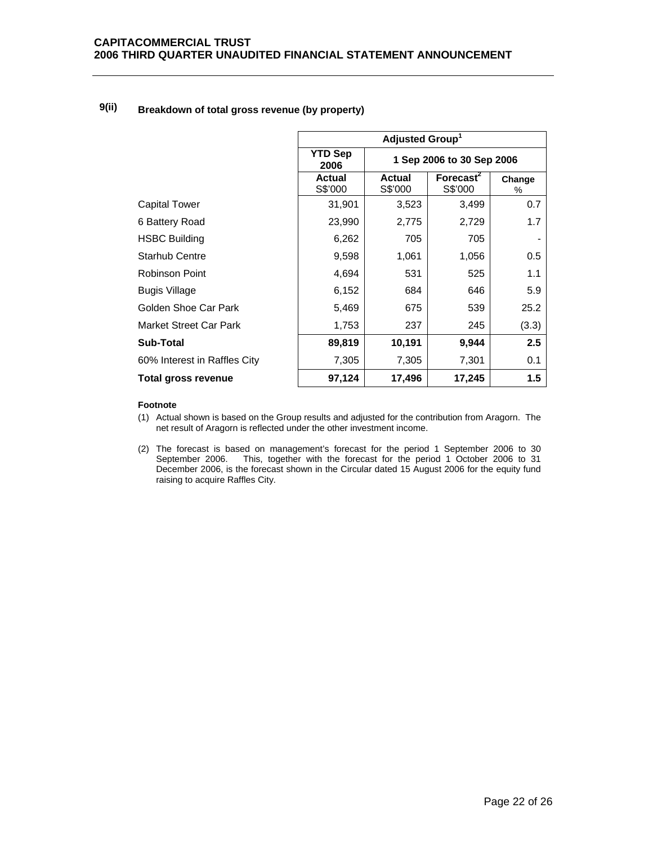| 9(ii) | Breakdown of total gross revenue (by property) |
|-------|------------------------------------------------|
|-------|------------------------------------------------|

|                              | Adjusted Group <sup>1</sup>                         |                          |                                  |             |
|------------------------------|-----------------------------------------------------|--------------------------|----------------------------------|-------------|
|                              | <b>YTD Sep</b><br>1 Sep 2006 to 30 Sep 2006<br>2006 |                          |                                  |             |
|                              | <b>Actual</b><br>S\$'000                            | <b>Actual</b><br>S\$'000 | Forecast <sup>2</sup><br>S\$'000 | Change<br>% |
| <b>Capital Tower</b>         | 31,901                                              | 3,523                    | 3,499                            | 0.7         |
| 6 Battery Road               | 23,990                                              | 2,775                    | 2,729                            | 1.7         |
| <b>HSBC Building</b>         | 6,262                                               | 705                      | 705                              |             |
| <b>Starhub Centre</b>        | 9,598                                               | 1,061                    | 1,056                            | 0.5         |
| <b>Robinson Point</b>        | 4,694                                               | 531                      | 525                              | 1.1         |
| Bugis Village                | 6,152                                               | 684                      | 646                              | 5.9         |
| Golden Shoe Car Park         | 5,469                                               | 675                      | 539                              | 25.2        |
| Market Street Car Park       | 1,753                                               | 237                      | 245                              | (3.3)       |
| Sub-Total                    | 89,819                                              | 10,191                   | 9,944                            | 2.5         |
| 60% Interest in Raffles City | 7,305                                               | 7,305                    | 7,301                            | 0.1         |
| Total gross revenue          | 97,124                                              | 17,496                   | 17,245                           | 1.5         |

## **Footnote**

- (1) Actual shown is based on the Group results and adjusted for the contribution from Aragorn. The net result of Aragorn is reflected under the other investment income.
- (2) The forecast is based on management's forecast for the period 1 September 2006 to 30 September 2006. This, together with the forecast for the period 1 October 2006 to 31 December 2006, is the forecast shown in the Circular dated 15 August 2006 for the equity fund raising to acquire Raffles City.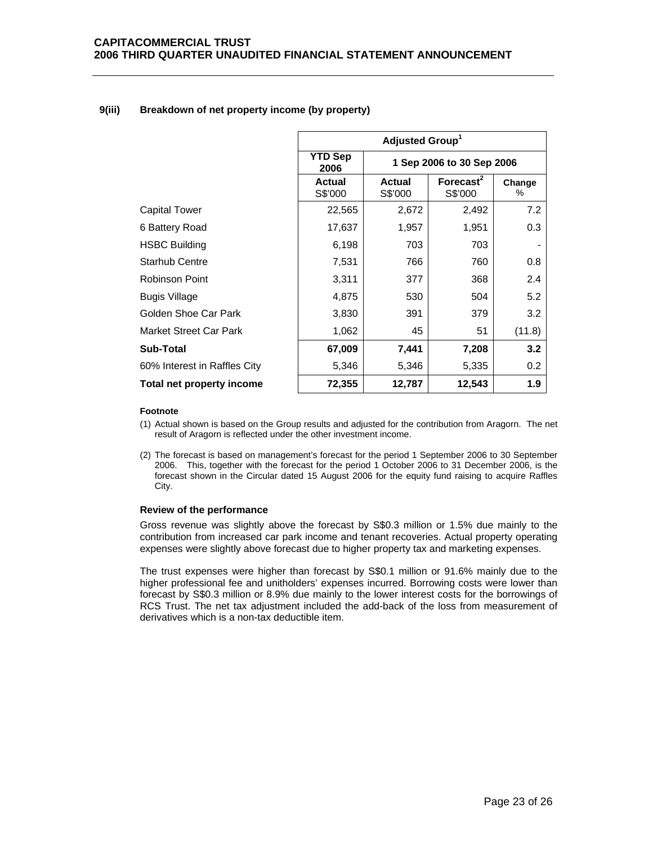# **9(iii) Breakdown of net property income (by property)**

|                               | Adjusted Group <sup>1</sup>                         |                          |             |        |
|-------------------------------|-----------------------------------------------------|--------------------------|-------------|--------|
|                               | <b>YTD Sep</b><br>1 Sep 2006 to 30 Sep 2006<br>2006 |                          |             |        |
|                               | <b>Actual</b><br>S\$'000                            | <b>Actual</b><br>S\$'000 | Change<br>℅ |        |
| Capital Tower                 | 22,565                                              | 2,672                    | 2,492       | 7.2    |
| 6 Battery Road                | 17,637                                              | 1,957                    | 1,951       | 0.3    |
| <b>HSBC Building</b>          | 6,198                                               | 703                      | 703         |        |
| <b>Starhub Centre</b>         | 7,531                                               | 766                      | 760         | 0.8    |
| Robinson Point                | 3,311                                               | 377                      | 368         | 2.4    |
| <b>Bugis Village</b>          | 4,875                                               | 530                      | 504         | 5.2    |
| Golden Shoe Car Park          | 3,830                                               | 391                      | 379         | 3.2    |
| <b>Market Street Car Park</b> | 1,062                                               | 45                       | 51          | (11.8) |
| <b>Sub-Total</b>              | 67,009                                              | 7,441                    | 7,208       | 3.2    |
| 60% Interest in Raffles City  | 5,346                                               | 5,346                    | 5,335       | 0.2    |
| Total net property income     | 72,355                                              | 12,787                   | 12,543      | 1.9    |

## **Footnote**

- (1) Actual shown is based on the Group results and adjusted for the contribution from Aragorn. The net result of Aragorn is reflected under the other investment income.
- (2) The forecast is based on management's forecast for the period 1 September 2006 to 30 September 2006. This, together with the forecast for the period 1 October 2006 to 31 December 2006, is the forecast shown in the Circular dated 15 August 2006 for the equity fund raising to acquire Raffles City.

# **Review of the performance**

 Gross revenue was slightly above the forecast by S\$0.3 million or 1.5% due mainly to the contribution from increased car park income and tenant recoveries. Actual property operating expenses were slightly above forecast due to higher property tax and marketing expenses.

The trust expenses were higher than forecast by S\$0.1 million or 91.6% mainly due to the higher professional fee and unitholders' expenses incurred. Borrowing costs were lower than forecast by S\$0.3 million or 8.9% due mainly to the lower interest costs for the borrowings of RCS Trust. The net tax adjustment included the add-back of the loss from measurement of derivatives which is a non-tax deductible item.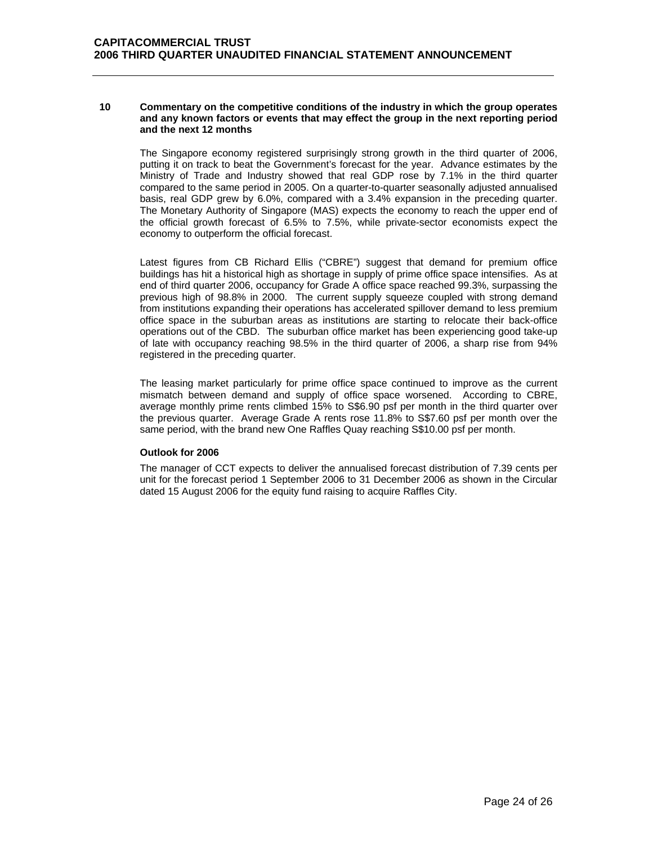## **10 Commentary on the competitive conditions of the industry in which the group operates and any known factors or events that may effect the group in the next reporting period and the next 12 months**

 The Singapore economy registered surprisingly strong growth in the third quarter of 2006, putting it on track to beat the Government's forecast for the year. Advance estimates by the Ministry of Trade and Industry showed that real GDP rose by 7.1% in the third quarter compared to the same period in 2005. On a quarter-to-quarter seasonally adjusted annualised basis, real GDP grew by 6.0%, compared with a 3.4% expansion in the preceding quarter. The Monetary Authority of Singapore (MAS) expects the economy to reach the upper end of the official growth forecast of 6.5% to 7.5%, while private-sector economists expect the economy to outperform the official forecast.

Latest figures from CB Richard Ellis ("CBRE") suggest that demand for premium office buildings has hit a historical high as shortage in supply of prime office space intensifies. As at end of third quarter 2006, occupancy for Grade A office space reached 99.3%, surpassing the previous high of 98.8% in 2000. The current supply squeeze coupled with strong demand from institutions expanding their operations has accelerated spillover demand to less premium office space in the suburban areas as institutions are starting to relocate their back-office operations out of the CBD. The suburban office market has been experiencing good take-up of late with occupancy reaching 98.5% in the third quarter of 2006, a sharp rise from 94% registered in the preceding quarter.

The leasing market particularly for prime office space continued to improve as the current mismatch between demand and supply of office space worsened. According to CBRE, average monthly prime rents climbed 15% to S\$6.90 psf per month in the third quarter over the previous quarter. Average Grade A rents rose 11.8% to S\$7.60 psf per month over the same period, with the brand new One Raffles Quay reaching S\$10.00 psf per month.

# **Outlook for 2006**

 The manager of CCT expects to deliver the annualised forecast distribution of 7.39 cents per unit for the forecast period 1 September 2006 to 31 December 2006 as shown in the Circular dated 15 August 2006 for the equity fund raising to acquire Raffles City.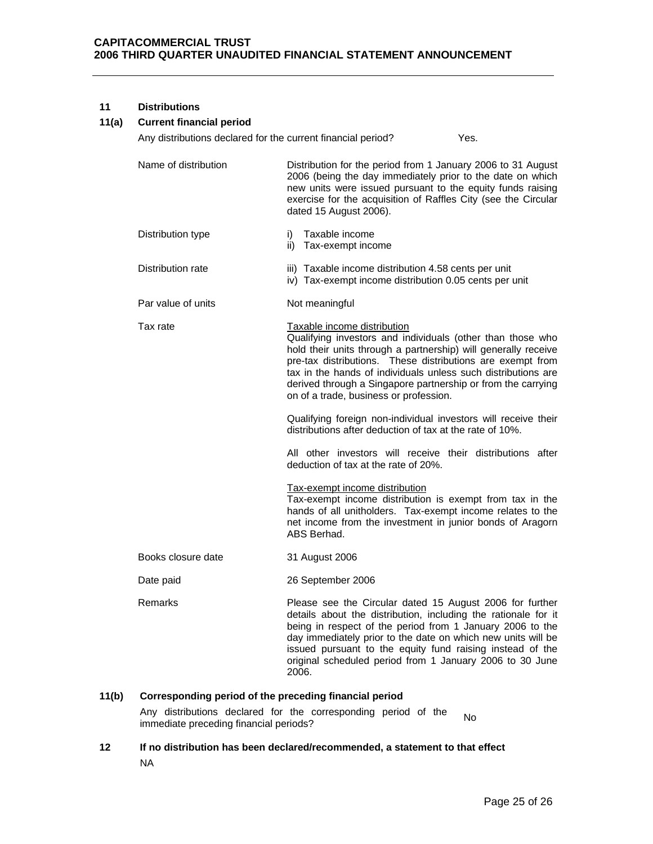# **11 Distributions**

# **11(a) Current financial period**

Any distributions declared for the current financial period? Yes.

- Name of distribution Distribution bor the period from 1 January 2006 to 31 August 2006 (being the day immediately prior to the date on which new units were issued pursuant to the equity funds raising exercise for the acquisition of Raffles City (see the Circular dated 15 August 2006).
- Distribution type i) Taxable income ii) Tax-exempt income
- Distribution rate iii) Taxable income distribution 4.58 cents per unit iv) Tax-exempt income distribution 0.05 cents per unit
- Par value of units Not meaningful
- Tax rate Taxable income distribution Qualifying investors and individuals (other than those who hold their units through a partnership) will generally receive pre-tax distributions. These distributions are exempt from tax in the hands of individuals unless such distributions are derived through a Singapore partnership or from the carrying on of a trade, business or profession. Qualifying foreign non-individual investors will receive their distributions after deduction of tax at the rate of 10%.

 All other investors will receive their distributions after deduction of tax at the rate of 20%.

Tax-exempt income distribution

Tax-exempt income distribution is exempt from tax in the hands of all unitholders. Tax-exempt income relates to the net income from the investment in junior bonds of Aragorn ABS Berhad.

- Books closure date 31 August 2006
- Date paid 26 September 2006
- Remarks **Please see the Circular dated 15 August 2006 for further** details about the distribution, including the rationale for it being in respect of the period from 1 January 2006 to the day immediately prior to the date on which new units will be issued pursuant to the equity fund raising instead of the original scheduled period from 1 January 2006 to 30 June 2006.

# **11(b) Corresponding period of the preceding financial period**

Any distributions declared for the corresponding period of the Any distinguious declared for the corresponding period of the No.<br>immediate preceding financial periods?

**12 If no distribution has been declared/recommended, a statement to that effect**  NA